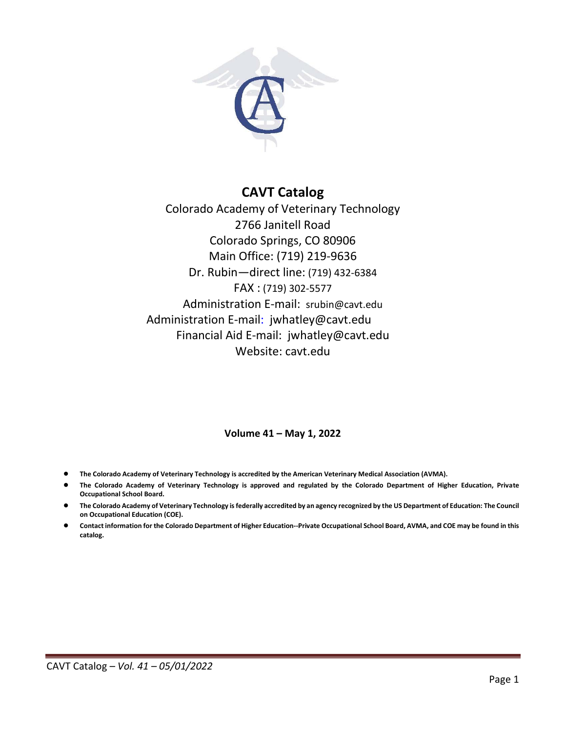

# **CAVT Catalog**

Colorado Academy of Veterinary Technology 2766 Janitell Road Colorado Springs, CO 80906 Main Office: (719) 219-9636 Dr. Rubin—direct line: (719) 432-6384 FAX : (719) 302-5577 Administration E-mail: srubin@cavt.edu Administration E-mail: jwhatley@cavt.edu Financial Aid E-mail: jwhatley@cavt.edu Website: cavt.edu

### **Volume 41 – May 1, 2022**

- **The Colorado Academy of Veterinary Technology is accredited by the American Veterinary Medical Association (AVMA).**
- The Colorado Academy of Veterinary Technology is approved and regulated by the Colorado Department of Higher Education, Private **Occupational School Board.**
- **The Colorado Academy of Veterinary Technology is federally accredited by an agency recognized by the US Department of Education: The Council on Occupational Education (COE).**
- **Contact information for the Colorado Department of Higher Education--Private Occupational School Board, AVMA, and COE may be found in this catalog.**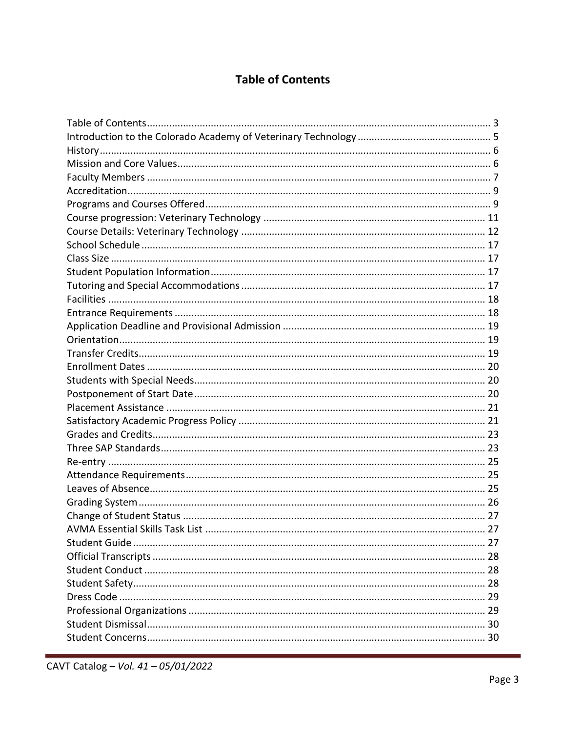# **Table of Contents**

<span id="page-2-0"></span>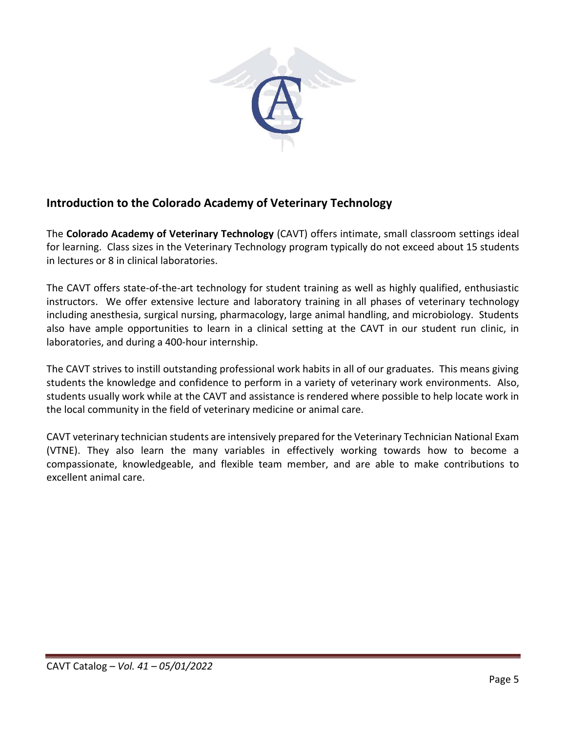

# <span id="page-4-0"></span>**Introduction to the Colorado Academy of Veterinary Technology**

The **Colorado Academy of Veterinary Technology** (CAVT) offers intimate, small classroom settings ideal for learning. Class sizes in the Veterinary Technology program typically do not exceed about 15 students in lectures or 8 in clinical laboratories.

The CAVT offers state-of-the-art technology for student training as well as highly qualified, enthusiastic instructors. We offer extensive lecture and laboratory training in all phases of veterinary technology including anesthesia, surgical nursing, pharmacology, large animal handling, and microbiology. Students also have ample opportunities to learn in a clinical setting at the CAVT in our student run clinic, in laboratories, and during a 400-hour internship.

The CAVT strives to instill outstanding professional work habits in all of our graduates. This means giving students the knowledge and confidence to perform in a variety of veterinary work environments. Also, students usually work while at the CAVT and assistance is rendered where possible to help locate work in the local community in the field of veterinary medicine or animal care.

CAVT veterinary technician students are intensively prepared for the Veterinary Technician National Exam (VTNE). They also learn the many variables in effectively working towards how to become a compassionate, knowledgeable, and flexible team member, and are able to make contributions to excellent animal care.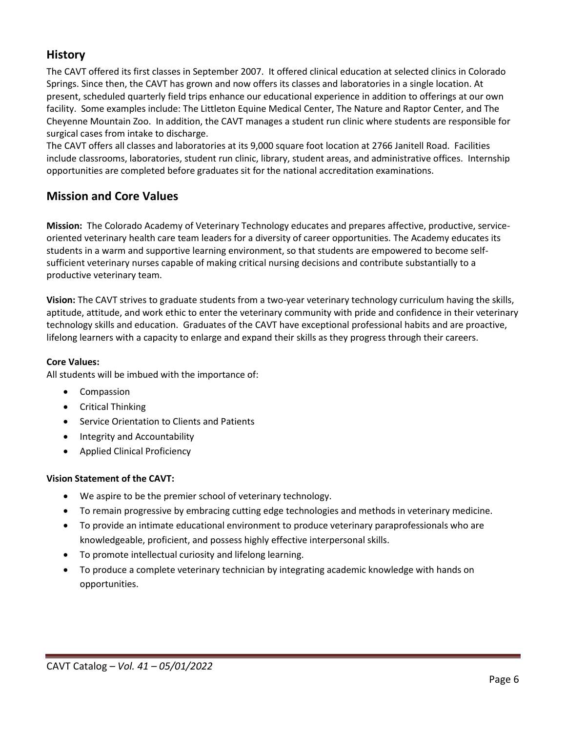# <span id="page-5-0"></span>**History**

The CAVT offered its first classes in September 2007. It offered clinical education at selected clinics in Colorado Springs. Since then, the CAVT has grown and now offers its classes and laboratories in a single location. At present, scheduled quarterly field trips enhance our educational experience in addition to offerings at our own facility. Some examples include: The Littleton Equine Medical Center, The Nature and Raptor Center, and The Cheyenne Mountain Zoo. In addition, the CAVT manages a student run clinic where students are responsible for surgical cases from intake to discharge.

The CAVT offers all classes and laboratories at its 9,000 square foot location at 2766 Janitell Road. Facilities include classrooms, laboratories, student run clinic, library, student areas, and administrative offices. Internship opportunities are completed before graduates sit for the national accreditation examinations.

# <span id="page-5-1"></span>**Mission and Core Values**

**Mission:** The Colorado Academy of Veterinary Technology educates and prepares affective, productive, serviceoriented veterinary health care team leaders for a diversity of career opportunities. The Academy educates its students in a warm and supportive learning environment, so that students are empowered to become selfsufficient veterinary nurses capable of making critical nursing decisions and contribute substantially to a productive veterinary team.

**Vision:** The CAVT strives to graduate students from a two-year veterinary technology curriculum having the skills, aptitude, attitude, and work ethic to enter the veterinary community with pride and confidence in their veterinary technology skills and education. Graduates of the CAVT have exceptional professional habits and are proactive, lifelong learners with a capacity to enlarge and expand their skills as they progress through their careers.

### **Core Values:**

All students will be imbued with the importance of:

- Compassion
- Critical Thinking
- Service Orientation to Clients and Patients
- Integrity and Accountability
- Applied Clinical Proficiency

### **Vision Statement of the CAVT:**

- We aspire to be the premier school of veterinary technology.
- To remain progressive by embracing cutting edge technologies and methods in veterinary medicine.
- To provide an intimate educational environment to produce veterinary paraprofessionals who are knowledgeable, proficient, and possess highly effective interpersonal skills.
- To promote intellectual curiosity and lifelong learning.
- To produce a complete veterinary technician by integrating academic knowledge with hands on opportunities.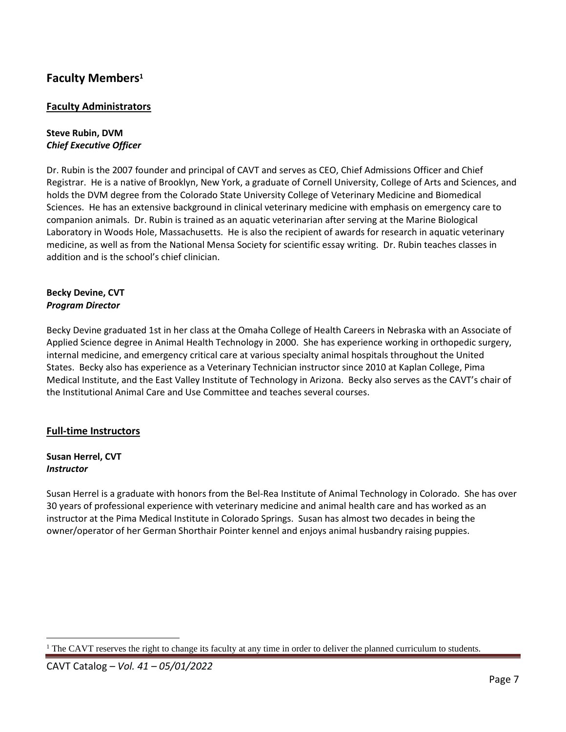# <span id="page-6-0"></span>**Faculty Members<sup>1</sup>**

## **Faculty Administrators**

### **Steve Rubin, DVM** *Chief Executive Officer*

Dr. Rubin is the 2007 founder and principal of CAVT and serves as CEO, Chief Admissions Officer and Chief Registrar. He is a native of Brooklyn, New York, a graduate of Cornell University, College of Arts and Sciences, and holds the DVM degree from the Colorado State University College of Veterinary Medicine and Biomedical Sciences. He has an extensive background in clinical veterinary medicine with emphasis on emergency care to companion animals. Dr. Rubin is trained as an aquatic veterinarian after serving at the Marine Biological Laboratory in Woods Hole, Massachusetts. He is also the recipient of awards for research in aquatic veterinary medicine, as well as from the National Mensa Society for scientific essay writing. Dr. Rubin teaches classes in addition and is the school's chief clinician.

### **Becky Devine, CVT** *Program Director*

Becky Devine graduated 1st in her class at the Omaha College of Health Careers in Nebraska with an Associate of Applied Science degree in Animal Health Technology in 2000. She has experience working in orthopedic surgery, internal medicine, and emergency critical care at various specialty animal hospitals throughout the United States. Becky also has experience as a Veterinary Technician instructor since 2010 at Kaplan College, Pima Medical Institute, and the East Valley Institute of Technology in Arizona. Becky also serves as the CAVT's chair of the Institutional Animal Care and Use Committee and teaches several courses.

## **Full-time Instructors**

### **Susan Herrel, CVT** *Instructor*

Susan Herrel is a graduate with honors from the Bel-Rea Institute of Animal Technology in Colorado. She has over 30 years of professional experience with veterinary medicine and animal health care and has worked as an instructor at the Pima Medical Institute in Colorado Springs. Susan has almost two decades in being the owner/operator of her German Shorthair Pointer kennel and enjoys animal husbandry raising puppies.

<sup>&</sup>lt;sup>1</sup> The CAVT reserves the right to change its faculty at any time in order to deliver the planned curriculum to students.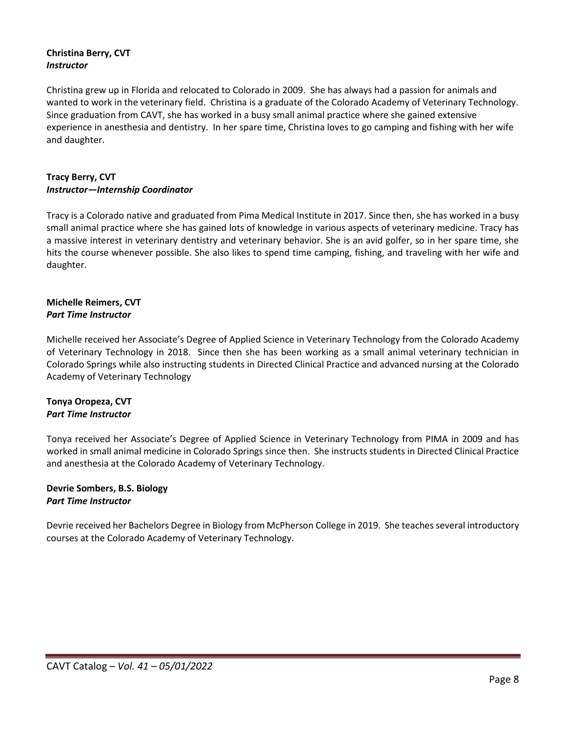### **Christina Berry, CVT** *Instructor*

Christina grew up in Florida and relocated to Colorado in 2009. She has always had a passion for animals and wanted to work in the veterinary field. Christina is a graduate of the Colorado Academy of Veterinary Technology. Since graduation from CAVT, she has worked in a busy small animal practice where she gained extensive experience in anesthesia and dentistry. In her spare time, Christina loves to go camping and fishing with her wife and daughter.

### **Tracy Berry, CVT** *Instructor—Internship Coordinator*

Tracy is a Colorado native and graduated from Pima Medical Institute in 2017. Since then, she has worked in a busy small animal practice where she has gained lots of knowledge in various aspects of veterinary medicine. Tracy has a massive interest in veterinary dentistry and veterinary behavior. She is an avid golfer, so in her spare time, she hits the course whenever possible. She also likes to spend time camping, fishing, and traveling with her wife and daughter.

### **Michelle Reimers, CVT** *Part Time Instructor*

Michelle received her Associate's Degree of Applied Science in Veterinary Technology from the Colorado Academy of Veterinary Technology in 2018. Since then she has been working as a small animal veterinary technician in Colorado Springs while also instructing students in Directed Clinical Practice and advanced nursing at the Colorado Academy of Veterinary Technology

### **Tonya Oropeza, CVT** *Part Time Instructor*

Tonya received her Associate's Degree of Applied Science in Veterinary Technology from PIMA in 2009 and has worked in small animal medicine in Colorado Springs since then. She instructs students in Directed Clinical Practice and anesthesia at the Colorado Academy of Veterinary Technology.

### **Devrie Sombers, B.S. Biology** *Part Time Instructor*

Devrie received her Bachelors Degree in Biology from McPherson College in 2019. She teaches several introductory courses at the Colorado Academy of Veterinary Technology.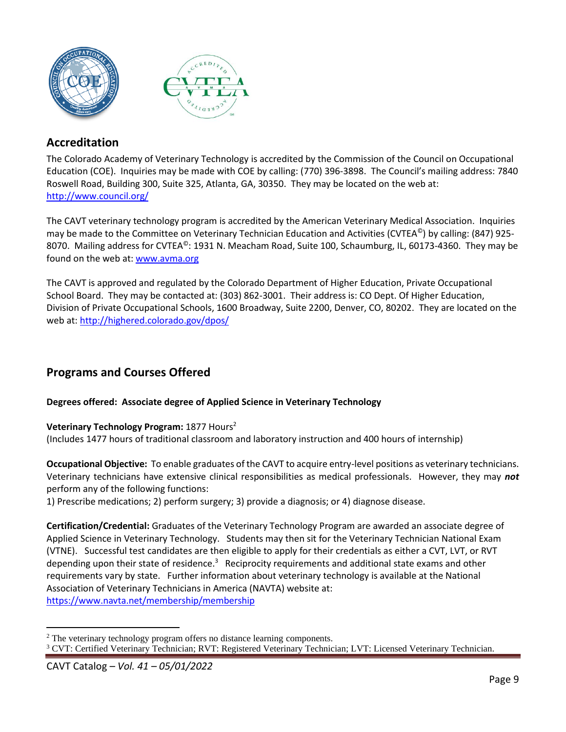



# <span id="page-8-0"></span>**Accreditation**

The Colorado Academy of Veterinary Technology is accredited by the Commission of the Council on Occupational Education (COE). Inquiries may be made with COE by calling: (770) 396-3898. The Council's mailing address: 7840 Roswell Road, Building 300, Suite 325, Atlanta, GA, 30350. They may be located on the web at: <http://www.council.org/>

The CAVT veterinary technology program is accredited by the American Veterinary Medical Association. Inquiries may be made to the Committee on Veterinary Technician Education and Activities (CVTEA©) by calling: (847) 925- 8070. Mailing address for CVTEA<sup>®</sup>: 1931 N. Meacham Road, Suite 100, Schaumburg, IL, 60173-4360. They may be found on the web at: [www.avma.org](http://www.avma.org/)

The CAVT is approved and regulated by the Colorado Department of Higher Education, Private Occupational School Board. They may be contacted at: (303) 862-3001. Their address is: CO Dept. Of Higher Education, Division of Private Occupational Schools, 1600 Broadway, Suite 2200, Denver, CO, 80202. They are located on the web at:<http://highered.colorado.gov/dpos/>

# <span id="page-8-1"></span>**Programs and Courses Offered**

## **Degrees offered: Associate degree of Applied Science in Veterinary Technology**

### **Veterinary Technology Program:** 1877 Hours<sup>2</sup>

(Includes 1477 hours of traditional classroom and laboratory instruction and 400 hours of internship)

**Occupational Objective:** To enable graduates of the CAVT to acquire entry-level positions as veterinary technicians. Veterinary technicians have extensive clinical responsibilities as medical professionals. However, they may *not* perform any of the following functions:

1) Prescribe medications; 2) perform surgery; 3) provide a diagnosis; or 4) diagnose disease.

**Certification/Credential:** Graduates of the Veterinary Technology Program are awarded an associate degree of Applied Science in Veterinary Technology. Students may then sit for the Veterinary Technician National Exam (VTNE). Successful test candidates are then eligible to apply for their credentials as either a CVT, LVT, or RVT depending upon their state of residence.<sup>3</sup> Reciprocity requirements and additional state exams and other requirements vary by state. Further information about veterinary technology is available at the National Association of Veterinary Technicians in America (NAVTA) website at:

<https://www.navta.net/membership/membership>

<sup>&</sup>lt;sup>2</sup> The veterinary technology program offers no distance learning components. <sup>3</sup> CVT: Certified Veterinary Technician; RVT: Registered Veterinary Technician; LVT: Licensed Veterinary Technician.

CAVT Catalog *– Vol. 41 – 05/01/2022*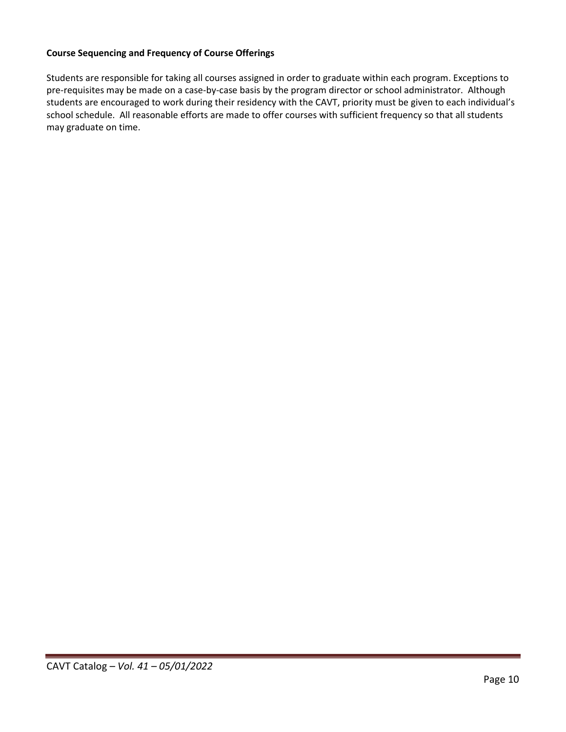### **Course Sequencing and Frequency of Course Offerings**

Students are responsible for taking all courses assigned in order to graduate within each program. Exceptions to pre-requisites may be made on a case-by-case basis by the program director or school administrator. Although students are encouraged to work during their residency with the CAVT, priority must be given to each individual's school schedule. All reasonable efforts are made to offer courses with sufficient frequency so that all students may graduate on time.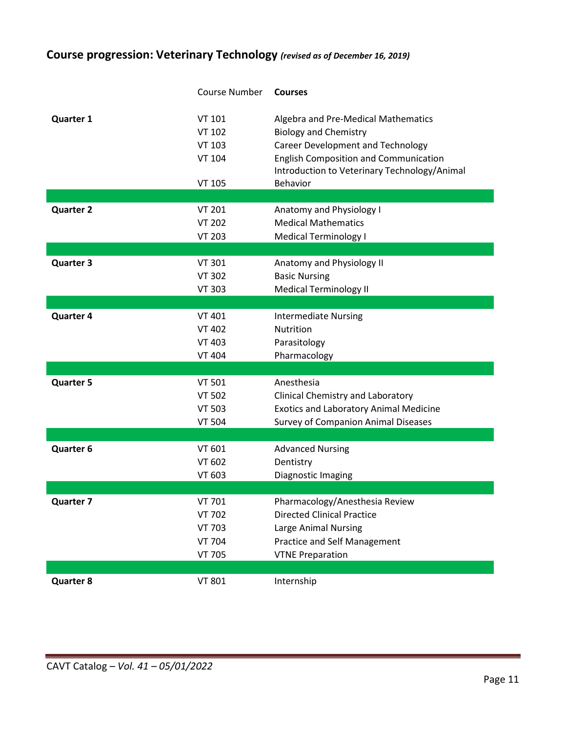# <span id="page-10-0"></span>**Course progression: Veterinary Technology** *(revised as of December 16, 2019)*

|                  | <b>Course Number</b>                                                       | <b>Courses</b>                                                                                                                                                                                                                     |
|------------------|----------------------------------------------------------------------------|------------------------------------------------------------------------------------------------------------------------------------------------------------------------------------------------------------------------------------|
| <b>Quarter 1</b> | VT 101<br><b>VT 102</b><br><b>VT 103</b><br><b>VT 104</b><br><b>VT 105</b> | Algebra and Pre-Medical Mathematics<br><b>Biology and Chemistry</b><br><b>Career Development and Technology</b><br><b>English Composition and Communication</b><br>Introduction to Veterinary Technology/Animal<br><b>Behavior</b> |
|                  |                                                                            |                                                                                                                                                                                                                                    |
| <b>Quarter 2</b> | <b>VT 201</b><br><b>VT 202</b><br><b>VT 203</b>                            | Anatomy and Physiology I<br><b>Medical Mathematics</b><br><b>Medical Terminology I</b>                                                                                                                                             |
| <b>Quarter 3</b> | <b>VT 301</b>                                                              | Anatomy and Physiology II                                                                                                                                                                                                          |
|                  | <b>VT 302</b><br><b>VT 303</b>                                             | <b>Basic Nursing</b><br><b>Medical Terminology II</b>                                                                                                                                                                              |
|                  |                                                                            |                                                                                                                                                                                                                                    |
| <b>Quarter 4</b> | <b>VT 401</b><br><b>VT 402</b><br><b>VT 403</b><br><b>VT 404</b>           | <b>Intermediate Nursing</b><br><b>Nutrition</b><br>Parasitology<br>Pharmacology                                                                                                                                                    |
|                  |                                                                            |                                                                                                                                                                                                                                    |
| <b>Quarter 5</b> | <b>VT 501</b><br><b>VT 502</b><br><b>VT 503</b><br><b>VT 504</b>           | Anesthesia<br>Clinical Chemistry and Laboratory<br><b>Exotics and Laboratory Animal Medicine</b><br>Survey of Companion Animal Diseases                                                                                            |
|                  |                                                                            |                                                                                                                                                                                                                                    |
| <b>Quarter 6</b> | VT 601<br>VT 602<br><b>VT 603</b>                                          | <b>Advanced Nursing</b><br>Dentistry<br>Diagnostic Imaging                                                                                                                                                                         |
|                  |                                                                            |                                                                                                                                                                                                                                    |
| <b>Quarter 7</b> | VT 701<br><b>VT 702</b><br><b>VT 703</b><br><b>VT 704</b>                  | Pharmacology/Anesthesia Review<br><b>Directed Clinical Practice</b><br>Large Animal Nursing<br>Practice and Self Management                                                                                                        |
|                  | <b>VT 705</b>                                                              | <b>VTNE Preparation</b>                                                                                                                                                                                                            |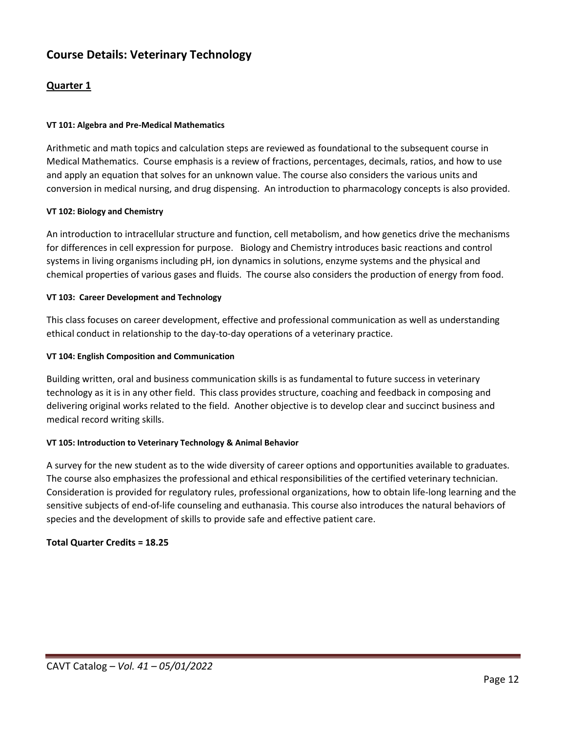# <span id="page-11-0"></span>**Course Details: Veterinary Technology**

## **Quarter 1**

### **VT 101: Algebra and Pre-Medical Mathematics**

Arithmetic and math topics and calculation steps are reviewed as foundational to the subsequent course in Medical Mathematics. Course emphasis is a review of fractions, percentages, decimals, ratios, and how to use and apply an equation that solves for an unknown value. The course also considers the various units and conversion in medical nursing, and drug dispensing. An introduction to pharmacology concepts is also provided.

### **VT 102: Biology and Chemistry**

An introduction to intracellular structure and function, cell metabolism, and how genetics drive the mechanisms for differences in cell expression for purpose. Biology and Chemistry introduces basic reactions and control systems in living organisms including pH, ion dynamics in solutions, enzyme systems and the physical and chemical properties of various gases and fluids. The course also considers the production of energy from food.

### **VT 103: Career Development and Technology**

This class focuses on career development, effective and professional communication as well as understanding ethical conduct in relationship to the day-to-day operations of a veterinary practice.

### **VT 104: English Composition and Communication**

Building written, oral and business communication skills is as fundamental to future success in veterinary technology as it is in any other field. This class provides structure, coaching and feedback in composing and delivering original works related to the field. Another objective is to develop clear and succinct business and medical record writing skills.

### **VT 105: Introduction to Veterinary Technology & Animal Behavior**

A survey for the new student as to the wide diversity of career options and opportunities available to graduates. The course also emphasizes the professional and ethical responsibilities of the certified veterinary technician. Consideration is provided for regulatory rules, professional organizations, how to obtain life-long learning and the sensitive subjects of end-of-life counseling and euthanasia. This course also introduces the natural behaviors of species and the development of skills to provide safe and effective patient care.

### **Total Quarter Credits = 18.25**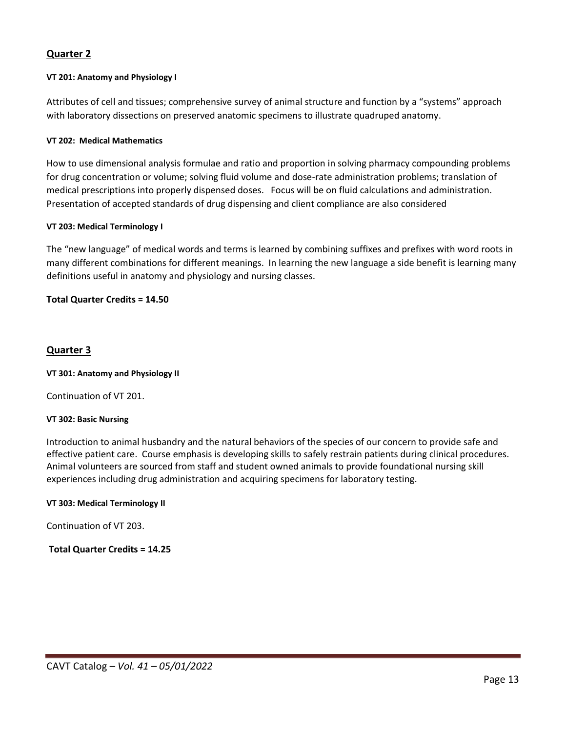## **Quarter 2**

#### **VT 201: Anatomy and Physiology I**

Attributes of cell and tissues; comprehensive survey of animal structure and function by a "systems" approach with laboratory dissections on preserved anatomic specimens to illustrate quadruped anatomy.

#### **VT 202: Medical Mathematics**

How to use dimensional analysis formulae and ratio and proportion in solving pharmacy compounding problems for drug concentration or volume; solving fluid volume and dose-rate administration problems; translation of medical prescriptions into properly dispensed doses. Focus will be on fluid calculations and administration. Presentation of accepted standards of drug dispensing and client compliance are also considered

#### **VT 203: Medical Terminology I**

The "new language" of medical words and terms is learned by combining suffixes and prefixes with word roots in many different combinations for different meanings. In learning the new language a side benefit is learning many definitions useful in anatomy and physiology and nursing classes.

### **Total Quarter Credits = 14.50**

### **Quarter 3**

#### **VT 301: Anatomy and Physiology II**

Continuation of VT 201.

#### **VT 302: Basic Nursing**

Introduction to animal husbandry and the natural behaviors of the species of our concern to provide safe and effective patient care. Course emphasis is developing skills to safely restrain patients during clinical procedures. Animal volunteers are sourced from staff and student owned animals to provide foundational nursing skill experiences including drug administration and acquiring specimens for laboratory testing.

#### **VT 303: Medical Terminology II**

Continuation of VT 203.

### **Total Quarter Credits = 14.25**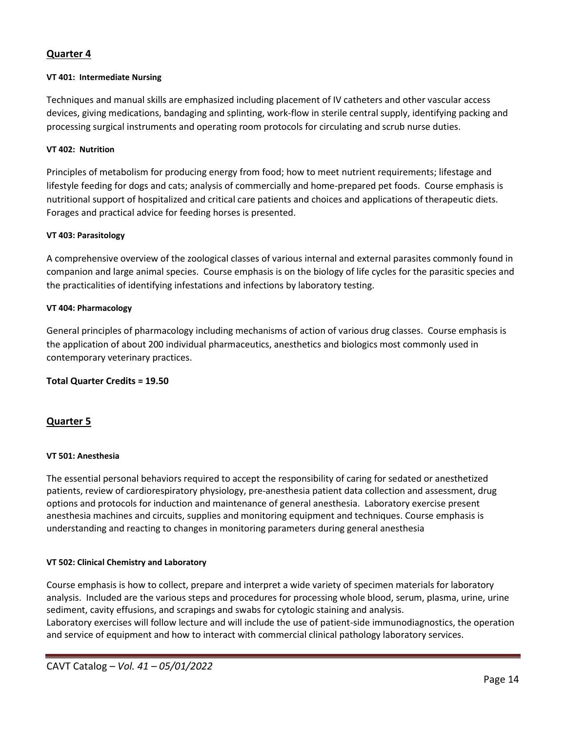## **Quarter 4**

#### **VT 401: Intermediate Nursing**

Techniques and manual skills are emphasized including placement of IV catheters and other vascular access devices, giving medications, bandaging and splinting, work-flow in sterile central supply, identifying packing and processing surgical instruments and operating room protocols for circulating and scrub nurse duties.

#### **VT 402: Nutrition**

Principles of metabolism for producing energy from food; how to meet nutrient requirements; lifestage and lifestyle feeding for dogs and cats; analysis of commercially and home-prepared pet foods. Course emphasis is nutritional support of hospitalized and critical care patients and choices and applications of therapeutic diets. Forages and practical advice for feeding horses is presented.

#### **VT 403: Parasitology**

A comprehensive overview of the zoological classes of various internal and external parasites commonly found in companion and large animal species. Course emphasis is on the biology of life cycles for the parasitic species and the practicalities of identifying infestations and infections by laboratory testing.

#### **VT 404: Pharmacology**

General principles of pharmacology including mechanisms of action of various drug classes. Course emphasis is the application of about 200 individual pharmaceutics, anesthetics and biologics most commonly used in contemporary veterinary practices.

### **Total Quarter Credits = 19.50**

### **Quarter 5**

#### **VT 501: Anesthesia**

The essential personal behaviors required to accept the responsibility of caring for sedated or anesthetized patients, review of cardiorespiratory physiology, pre-anesthesia patient data collection and assessment, drug options and protocols for induction and maintenance of general anesthesia. Laboratory exercise present anesthesia machines and circuits, supplies and monitoring equipment and techniques. Course emphasis is understanding and reacting to changes in monitoring parameters during general anesthesia

#### **VT 502: Clinical Chemistry and Laboratory**

Course emphasis is how to collect, prepare and interpret a wide variety of specimen materials for laboratory analysis. Included are the various steps and procedures for processing whole blood, serum, plasma, urine, urine sediment, cavity effusions, and scrapings and swabs for cytologic staining and analysis.

Laboratory exercises will follow lecture and will include the use of patient-side immunodiagnostics, the operation and service of equipment and how to interact with commercial clinical pathology laboratory services.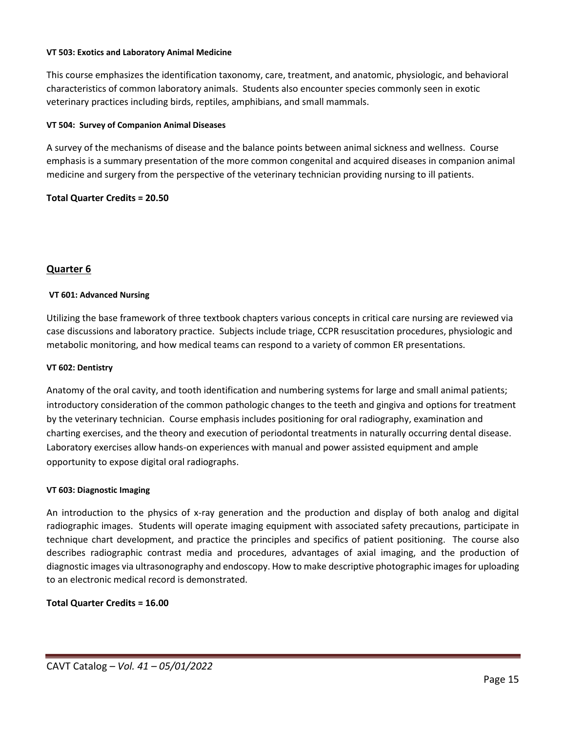#### **VT 503: Exotics and Laboratory Animal Medicine**

This course emphasizes the identification taxonomy, care, treatment, and anatomic, physiologic, and behavioral characteristics of common laboratory animals. Students also encounter species commonly seen in exotic veterinary practices including birds, reptiles, amphibians, and small mammals.

#### **VT 504: Survey of Companion Animal Diseases**

A survey of the mechanisms of disease and the balance points between animal sickness and wellness. Course emphasis is a summary presentation of the more common congenital and acquired diseases in companion animal medicine and surgery from the perspective of the veterinary technician providing nursing to ill patients.

### **Total Quarter Credits = 20.50**

### **Quarter 6**

### **VT 601: Advanced Nursing**

Utilizing the base framework of three textbook chapters various concepts in critical care nursing are reviewed via case discussions and laboratory practice. Subjects include triage, CCPR resuscitation procedures, physiologic and metabolic monitoring, and how medical teams can respond to a variety of common ER presentations.

#### **VT 602: Dentistry**

Anatomy of the oral cavity, and tooth identification and numbering systems for large and small animal patients; introductory consideration of the common pathologic changes to the teeth and gingiva and options for treatment by the veterinary technician. Course emphasis includes positioning for oral radiography, examination and charting exercises, and the theory and execution of periodontal treatments in naturally occurring dental disease. Laboratory exercises allow hands-on experiences with manual and power assisted equipment and ample opportunity to expose digital oral radiographs.

#### **VT 603: Diagnostic Imaging**

An introduction to the physics of x-ray generation and the production and display of both analog and digital radiographic images. Students will operate imaging equipment with associated safety precautions, participate in technique chart development, and practice the principles and specifics of patient positioning. The course also describes radiographic contrast media and procedures, advantages of axial imaging, and the production of diagnostic images via ultrasonography and endoscopy. How to make descriptive photographic images for uploading to an electronic medical record is demonstrated.

### **Total Quarter Credits = 16.00**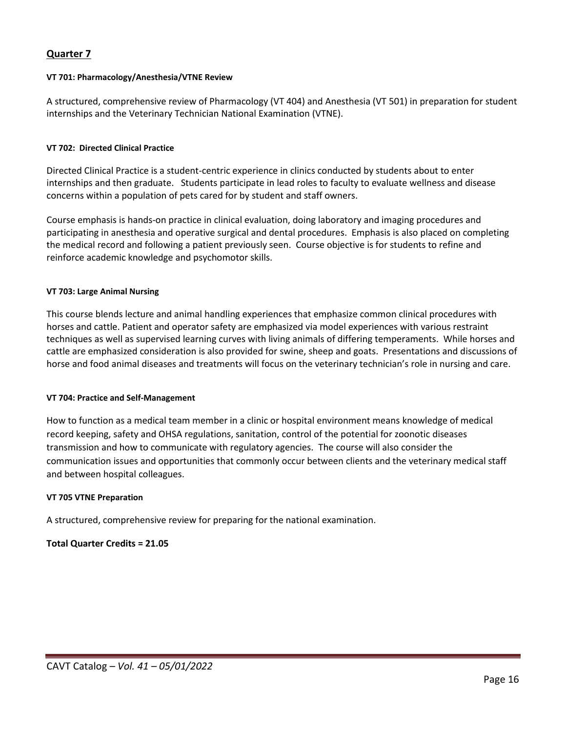### **Quarter 7**

#### **VT 701: Pharmacology/Anesthesia/VTNE Review**

A structured, comprehensive review of Pharmacology (VT 404) and Anesthesia (VT 501) in preparation for student internships and the Veterinary Technician National Examination (VTNE).

#### **VT 702: Directed Clinical Practice**

Directed Clinical Practice is a student-centric experience in clinics conducted by students about to enter internships and then graduate. Students participate in lead roles to faculty to evaluate wellness and disease concerns within a population of pets cared for by student and staff owners.

Course emphasis is hands-on practice in clinical evaluation, doing laboratory and imaging procedures and participating in anesthesia and operative surgical and dental procedures. Emphasis is also placed on completing the medical record and following a patient previously seen. Course objective is for students to refine and reinforce academic knowledge and psychomotor skills.

#### **VT 703: Large Animal Nursing**

This course blends lecture and animal handling experiences that emphasize common clinical procedures with horses and cattle. Patient and operator safety are emphasized via model experiences with various restraint techniques as well as supervised learning curves with living animals of differing temperaments. While horses and cattle are emphasized consideration is also provided for swine, sheep and goats. Presentations and discussions of horse and food animal diseases and treatments will focus on the veterinary technician's role in nursing and care.

#### **VT 704: Practice and Self-Management**

How to function as a medical team member in a clinic or hospital environment means knowledge of medical record keeping, safety and OHSA regulations, sanitation, control of the potential for zoonotic diseases transmission and how to communicate with regulatory agencies. The course will also consider the communication issues and opportunities that commonly occur between clients and the veterinary medical staff and between hospital colleagues.

#### **VT 705 VTNE Preparation**

A structured, comprehensive review for preparing for the national examination.

### **Total Quarter Credits = 21.05**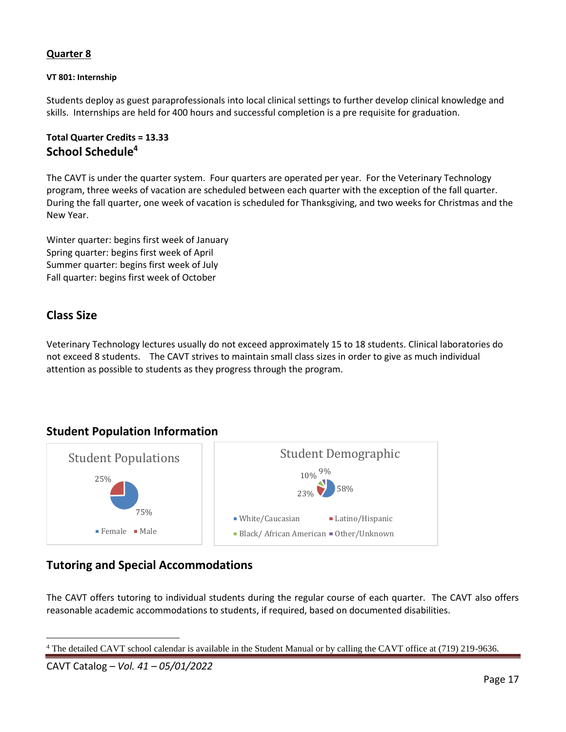## **Quarter 8**

### **VT 801: Internship**

Students deploy as guest paraprofessionals into local clinical settings to further develop clinical knowledge and skills. Internships are held for 400 hours and successful completion is a pre requisite for graduation.

## <span id="page-16-0"></span>**Total Quarter Credits = 13.33 School Schedule<sup>4</sup>**

The CAVT is under the quarter system. Four quarters are operated per year. For the Veterinary Technology program, three weeks of vacation are scheduled between each quarter with the exception of the fall quarter. During the fall quarter, one week of vacation is scheduled for Thanksgiving, and two weeks for Christmas and the New Year.

Winter quarter: begins first week of January Spring quarter: begins first week of April Summer quarter: begins first week of July Fall quarter: begins first week of October

# <span id="page-16-1"></span>**Class Size**

Veterinary Technology lectures usually do not exceed approximately 15 to 18 students. Clinical laboratories do not exceed 8 students. The CAVT strives to maintain small class sizes in order to give as much individual attention as possible to students as they progress through the program.

## <span id="page-16-2"></span>**Student Population Information**



## <span id="page-16-3"></span>**Tutoring and Special Accommodations**

The CAVT offers tutoring to individual students during the regular course of each quarter. The CAVT also offers reasonable academic accommodations to students, if required, based on documented disabilities.

CAVT Catalog *– Vol. 41 – 05/01/2022*

<sup>4</sup> The detailed CAVT school calendar is available in the Student Manual or by calling the CAVT office at (719) 219-9636.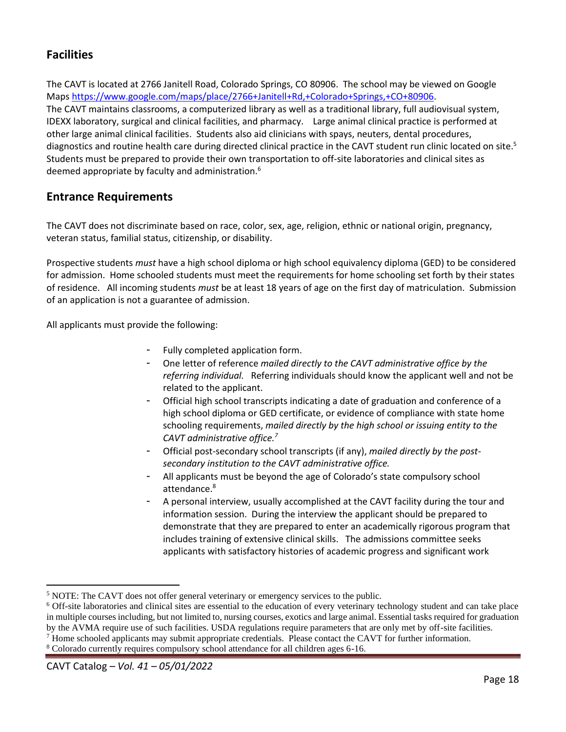# <span id="page-17-0"></span>**Facilities**

The CAVT is located at 2766 Janitell Road, Colorado Springs, CO 80906. The school may be viewed on Google Maps [https://www.google.com/maps/place/2766+Janitell+Rd,+Colorado+Springs,+CO+80906.](https://www.google.com/maps/place/2766+Janitell+Rd,+Colorado+Springs,+CO+80906) The CAVT maintains classrooms, a computerized library as well as a traditional library, full audiovisual system, IDEXX laboratory, surgical and clinical facilities, and pharmacy. Large animal clinical practice is performed at other large animal clinical facilities. Students also aid clinicians with spays, neuters, dental procedures, diagnostics and routine health care during directed clinical practice in the CAVT student run clinic located on site.<sup>5</sup> Students must be prepared to provide their own transportation to off-site laboratories and clinical sites as deemed appropriate by faculty and administration.<sup>6</sup>

# <span id="page-17-1"></span>**Entrance Requirements**

The CAVT does not discriminate based on race, color, sex, age, religion, ethnic or national origin, pregnancy, veteran status, familial status, citizenship, or disability.

Prospective students *must* have a high school diploma or high school equivalency diploma (GED) to be considered for admission. Home schooled students must meet the requirements for home schooling set forth by their states of residence. All incoming students *must* be at least 18 years of age on the first day of matriculation. Submission of an application is not a guarantee of admission.

All applicants must provide the following:

- Fully completed application form.
- One letter of reference *mailed directly to the CAVT administrative office by the referring individual.* Referring individuals should know the applicant well and not be related to the applicant.
- Official high school transcripts indicating a date of graduation and conference of a high school diploma or GED certificate, or evidence of compliance with state home schooling requirements, *mailed directly by the high school or issuing entity to the CAVT administrative office.<sup>7</sup>*
- Official post-secondary school transcripts (if any), *mailed directly by the postsecondary institution to the CAVT administrative office.*
- All applicants must be beyond the age of Colorado's state compulsory school attendance.<sup>8</sup>
- A personal interview, usually accomplished at the CAVT facility during the tour and information session. During the interview the applicant should be prepared to demonstrate that they are prepared to enter an academically rigorous program that includes training of extensive clinical skills. The admissions committee seeks applicants with satisfactory histories of academic progress and significant work

<sup>&</sup>lt;sup>5</sup> NOTE: The CAVT does not offer general veterinary or emergency services to the public.

<sup>6</sup> Off-site laboratories and clinical sites are essential to the education of every veterinary technology student and can take place in multiple courses including, but not limited to, nursing courses, exotics and large animal. Essential tasks required for graduation by the AVMA require use of such facilities. USDA regulations require parameters that are only met by off-site facilities. <sup>7</sup> Home schooled applicants may submit appropriate credentials. Please contact the CAVT for further information.

<sup>8</sup> Colorado currently requires compulsory school attendance for all children ages 6-16.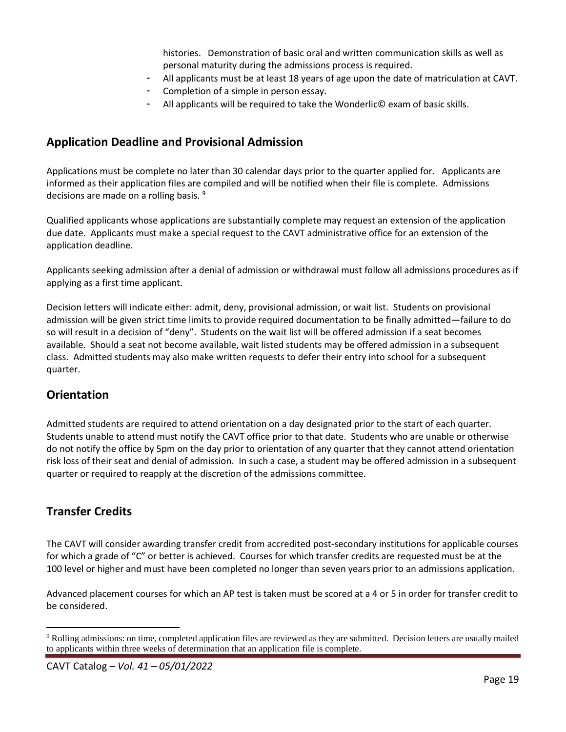histories. Demonstration of basic oral and written communication skills as well as personal maturity during the admissions process is required.

- All applicants must be at least 18 years of age upon the date of matriculation at CAVT.
- Completion of a simple in person essay.
- All applicants will be required to take the Wonderlic© exam of basic skills.

# <span id="page-18-0"></span>**Application Deadline and Provisional Admission**

Applications must be complete no later than 30 calendar days prior to the quarter applied for. Applicants are informed as their application files are compiled and will be notified when their file is complete. Admissions decisions are made on a rolling basis.<sup>9</sup>

Qualified applicants whose applications are substantially complete may request an extension of the application due date. Applicants must make a special request to the CAVT administrative office for an extension of the application deadline.

Applicants seeking admission after a denial of admission or withdrawal must follow all admissions procedures as if applying as a first time applicant.

Decision letters will indicate either: admit, deny, provisional admission, or wait list. Students on provisional admission will be given strict time limits to provide required documentation to be finally admitted—failure to do so will result in a decision of "deny". Students on the wait list will be offered admission if a seat becomes available. Should a seat not become available, wait listed students may be offered admission in a subsequent class. Admitted students may also make written requests to defer their entry into school for a subsequent quarter.

# <span id="page-18-1"></span>**Orientation**

Admitted students are required to attend orientation on a day designated prior to the start of each quarter. Students unable to attend must notify the CAVT office prior to that date. Students who are unable or otherwise do not notify the office by 5pm on the day prior to orientation of any quarter that they cannot attend orientation risk loss of their seat and denial of admission. In such a case, a student may be offered admission in a subsequent quarter or required to reapply at the discretion of the admissions committee.

# <span id="page-18-2"></span>**Transfer Credits**

The CAVT will consider awarding transfer credit from accredited post-secondary institutions for applicable courses for which a grade of "C" or better is achieved. Courses for which transfer credits are requested must be at the 100 level or higher and must have been completed no longer than seven years prior to an admissions application.

Advanced placement courses for which an AP test is taken must be scored at a 4 or 5 in order for transfer credit to be considered.

<sup>&</sup>lt;sup>9</sup> Rolling admissions: on time, completed application files are reviewed as they are submitted. Decision letters are usually mailed to applicants within three weeks of determination that an application file is complete.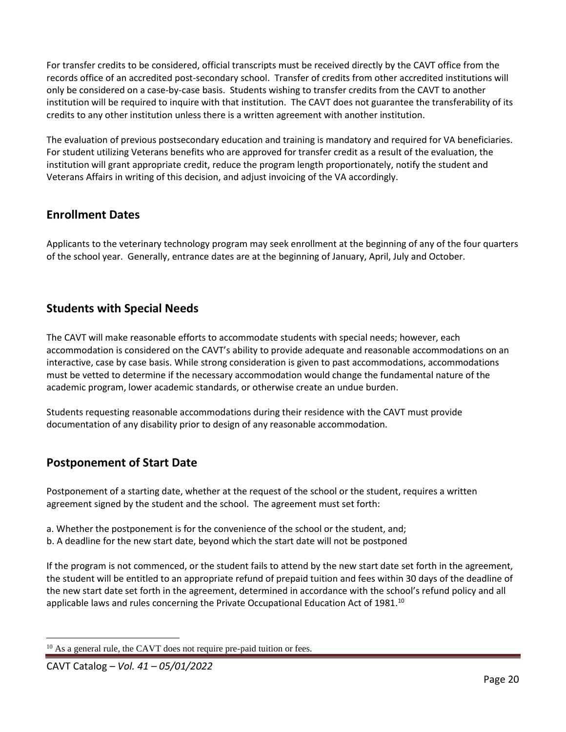For transfer credits to be considered, official transcripts must be received directly by the CAVT office from the records office of an accredited post-secondary school. Transfer of credits from other accredited institutions will only be considered on a case-by-case basis. Students wishing to transfer credits from the CAVT to another institution will be required to inquire with that institution. The CAVT does not guarantee the transferability of its credits to any other institution unless there is a written agreement with another institution.

The evaluation of previous postsecondary education and training is mandatory and required for VA beneficiaries. For student utilizing Veterans benefits who are approved for transfer credit as a result of the evaluation, the institution will grant appropriate credit, reduce the program length proportionately, notify the student and Veterans Affairs in writing of this decision, and adjust invoicing of the VA accordingly.

# <span id="page-19-0"></span>**Enrollment Dates**

<span id="page-19-1"></span>Applicants to the veterinary technology program may seek enrollment at the beginning of any of the four quarters of the school year. Generally, entrance dates are at the beginning of January, April, July and October.

# **Students with Special Needs**

The CAVT will make reasonable efforts to accommodate students with special needs; however, each accommodation is considered on the CAVT's ability to provide adequate and reasonable accommodations on an interactive, case by case basis. While strong consideration is given to past accommodations, accommodations must be vetted to determine if the necessary accommodation would change the fundamental nature of the academic program, lower academic standards, or otherwise create an undue burden.

Students requesting reasonable accommodations during their residence with the CAVT must provide documentation of any disability prior to design of any reasonable accommodation.

# <span id="page-19-2"></span>**Postponement of Start Date**

Postponement of a starting date, whether at the request of the school or the student, requires a written agreement signed by the student and the school. The agreement must set forth:

- a. Whether the postponement is for the convenience of the school or the student, and;
- b. A deadline for the new start date, beyond which the start date will not be postponed

If the program is not commenced, or the student fails to attend by the new start date set forth in the agreement, the student will be entitled to an appropriate refund of prepaid tuition and fees within 30 days of the deadline of the new start date set forth in the agreement, determined in accordance with the school's refund policy and all applicable laws and rules concerning the Private Occupational Education Act of 1981.<sup>10</sup>

<sup>&</sup>lt;sup>10</sup> As a general rule, the CAVT does not require pre-paid tuition or fees.

CAVT Catalog *– Vol. 41 – 05/01/2022*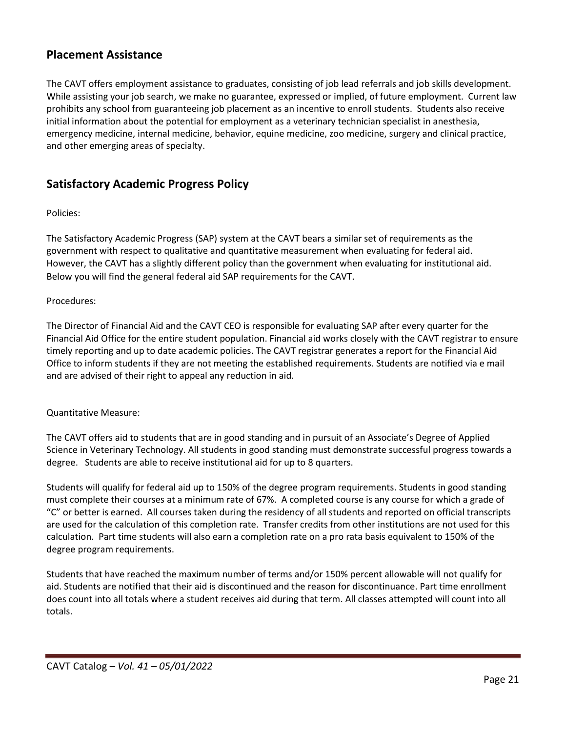# <span id="page-20-0"></span>**Placement Assistance**

The CAVT offers employment assistance to graduates, consisting of job lead referrals and job skills development. While assisting your job search, we make no guarantee, expressed or implied, of future employment. Current law prohibits any school from guaranteeing job placement as an incentive to enroll students. Students also receive initial information about the potential for employment as a veterinary technician specialist in anesthesia, emergency medicine, internal medicine, behavior, equine medicine, zoo medicine, surgery and clinical practice, and other emerging areas of specialty.

# <span id="page-20-1"></span>**Satisfactory Academic Progress Policy**

### Policies:

The Satisfactory Academic Progress (SAP) system at the CAVT bears a similar set of requirements as the government with respect to qualitative and quantitative measurement when evaluating for federal aid. However, the CAVT has a slightly different policy than the government when evaluating for institutional aid. Below you will find the general federal aid SAP requirements for the CAVT.

### Procedures:

The Director of Financial Aid and the CAVT CEO is responsible for evaluating SAP after every quarter for the Financial Aid Office for the entire student population. Financial aid works closely with the CAVT registrar to ensure timely reporting and up to date academic policies. The CAVT registrar generates a report for the Financial Aid Office to inform students if they are not meeting the established requirements. Students are notified via e mail and are advised of their right to appeal any reduction in aid.

### Quantitative Measure:

The CAVT offers aid to students that are in good standing and in pursuit of an Associate's Degree of Applied Science in Veterinary Technology. All students in good standing must demonstrate successful progress towards a degree. Students are able to receive institutional aid for up to 8 quarters.

Students will qualify for federal aid up to 150% of the degree program requirements. Students in good standing must complete their courses at a minimum rate of 67%. A completed course is any course for which a grade of "C" or better is earned. All courses taken during the residency of all students and reported on official transcripts are used for the calculation of this completion rate. Transfer credits from other institutions are not used for this calculation. Part time students will also earn a completion rate on a pro rata basis equivalent to 150% of the degree program requirements.

Students that have reached the maximum number of terms and/or 150% percent allowable will not qualify for aid. Students are notified that their aid is discontinued and the reason for discontinuance. Part time enrollment does count into all totals where a student receives aid during that term. All classes attempted will count into all totals.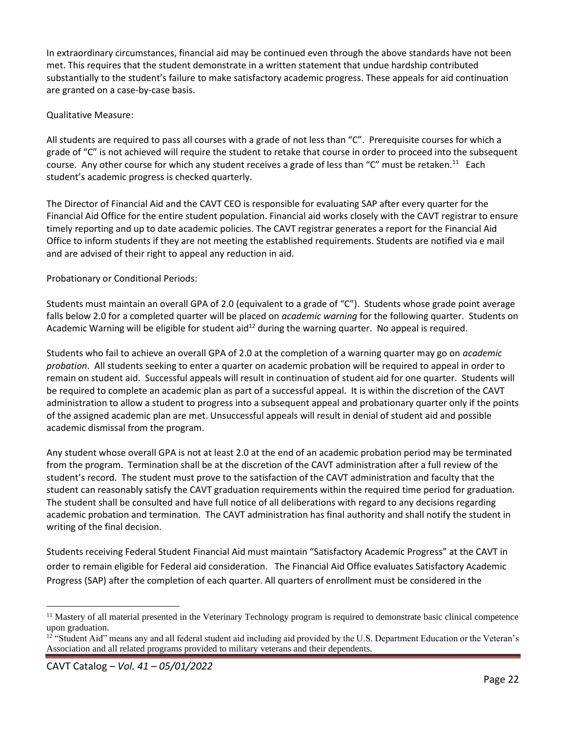In extraordinary circumstances, financial aid may be continued even through the above standards have not been met. This requires that the student demonstrate in a written statement that undue hardship contributed substantially to the student's failure to make satisfactory academic progress. These appeals for aid continuation are granted on a case-by-case basis.

### Qualitative Measure:

All students are required to pass all courses with a grade of not less than "C". Prerequisite courses for which a grade of "C" is not achieved will require the student to retake that course in order to proceed into the subsequent course. Any other course for which any student receives a grade of less than "C" must be retaken.<sup>11</sup> Each student's academic progress is checked quarterly.

The Director of Financial Aid and the CAVT CEO is responsible for evaluating SAP after every quarter for the Financial Aid Office for the entire student population. Financial aid works closely with the CAVT registrar to ensure timely reporting and up to date academic policies. The CAVT registrar generates a report for the Financial Aid Office to inform students if they are not meeting the established requirements. Students are notified via e mail and are advised of their right to appeal any reduction in aid.

### Probationary or Conditional Periods:

Students must maintain an overall GPA of 2.0 (equivalent to a grade of "C"). Students whose grade point average falls below 2.0 for a completed quarter will be placed on *academic warning* for the following quarter. Students on Academic Warning will be eligible for student aid<sup>12</sup> during the warning quarter. No appeal is required.

Students who fail to achieve an overall GPA of 2.0 at the completion of a warning quarter may go on *academic probation*. All students seeking to enter a quarter on academic probation will be required to appeal in order to remain on student aid. Successful appeals will result in continuation of student aid for one quarter. Students will be required to complete an academic plan as part of a successful appeal. It is within the discretion of the CAVT administration to allow a student to progress into a subsequent appeal and probationary quarter only if the points of the assigned academic plan are met. Unsuccessful appeals will result in denial of student aid and possible academic dismissal from the program.

Any student whose overall GPA is not at least 2.0 at the end of an academic probation period may be terminated from the program. Termination shall be at the discretion of the CAVT administration after a full review of the student's record. The student must prove to the satisfaction of the CAVT administration and faculty that the student can reasonably satisfy the CAVT graduation requirements within the required time period for graduation. The student shall be consulted and have full notice of all deliberations with regard to any decisions regarding academic probation and termination. The CAVT administration has final authority and shall notify the student in writing of the final decision.

Students receiving Federal Student Financial Aid must maintain "Satisfactory Academic Progress" at the CAVT in order to remain eligible for Federal aid consideration. The Financial Aid Office evaluates Satisfactory Academic Progress (SAP) after the completion of each quarter. All quarters of enrollment must be considered in the

<sup>&</sup>lt;sup>11</sup> Mastery of all material presented in the Veterinary Technology program is required to demonstrate basic clinical competence upon graduation.

 $12$  "Student Aid" means any and all federal student aid including aid provided by the U.S. Department Education or the Veteran's Association and all related programs provided to military veterans and their dependents.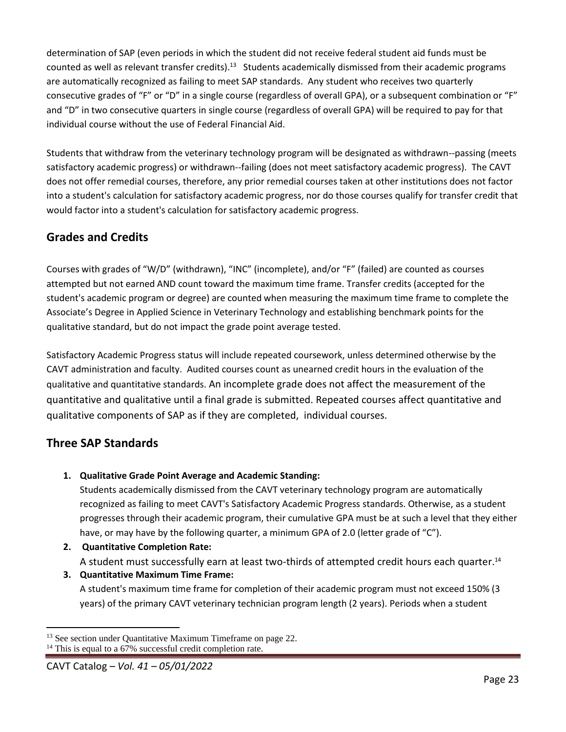determination of SAP (even periods in which the student did not receive federal student aid funds must be counted as well as relevant transfer credits).<sup>13</sup> Students academically dismissed from their academic programs are automatically recognized as failing to meet SAP standards. Any student who receives two quarterly consecutive grades of "F" or "D" in a single course (regardless of overall GPA), or a subsequent combination or "F" and "D" in two consecutive quarters in single course (regardless of overall GPA) will be required to pay for that individual course without the use of Federal Financial Aid.

Students that withdraw from the veterinary technology program will be designated as withdrawn--passing (meets satisfactory academic progress) or withdrawn--failing (does not meet satisfactory academic progress). The CAVT does not offer remedial courses, therefore, any prior remedial courses taken at other institutions does not factor into a student's calculation for satisfactory academic progress, nor do those courses qualify for transfer credit that would factor into a student's calculation for satisfactory academic progress.

# <span id="page-22-0"></span>**Grades and Credits**

Courses with grades of "W/D" (withdrawn), "INC" (incomplete), and/or "F" (failed) are counted as courses attempted but not earned AND count toward the maximum time frame. Transfer credits (accepted for the student's academic program or degree) are counted when measuring the maximum time frame to complete the Associate's Degree in Applied Science in Veterinary Technology and establishing benchmark points for the qualitative standard, but do not impact the grade point average tested.

Satisfactory Academic Progress status will include repeated coursework, unless determined otherwise by the CAVT administration and faculty. Audited courses count as unearned credit hours in the evaluation of the qualitative and quantitative standards. An incomplete grade does not affect the measurement of the quantitative and qualitative until a final grade is submitted. Repeated courses affect quantitative and qualitative components of SAP as if they are completed, individual courses.

# <span id="page-22-1"></span>**Three SAP Standards**

**1. Qualitative Grade Point Average and Academic Standing:**

Students academically dismissed from the CAVT veterinary technology program are automatically recognized as failing to meet CAVT's Satisfactory Academic Progress standards. Otherwise, as a student progresses through their academic program, their cumulative GPA must be at such a level that they either have, or may have by the following quarter, a minimum GPA of 2.0 (letter grade of "C").

- **2. Quantitative Completion Rate:** A student must successfully earn at least two-thirds of attempted credit hours each quarter.<sup>14</sup>
- **3. Quantitative Maximum Time Frame:** A student's maximum time frame for completion of their academic program must not exceed 150% (3 years) of the primary CAVT veterinary technician program length (2 years). Periods when a student

<sup>&</sup>lt;sup>13</sup> See section under Quantitative Maximum Timeframe on page 22. <sup>14</sup> This is equal to a 67% successful credit completion rate.

CAVT Catalog *– Vol. 41 – 05/01/2022*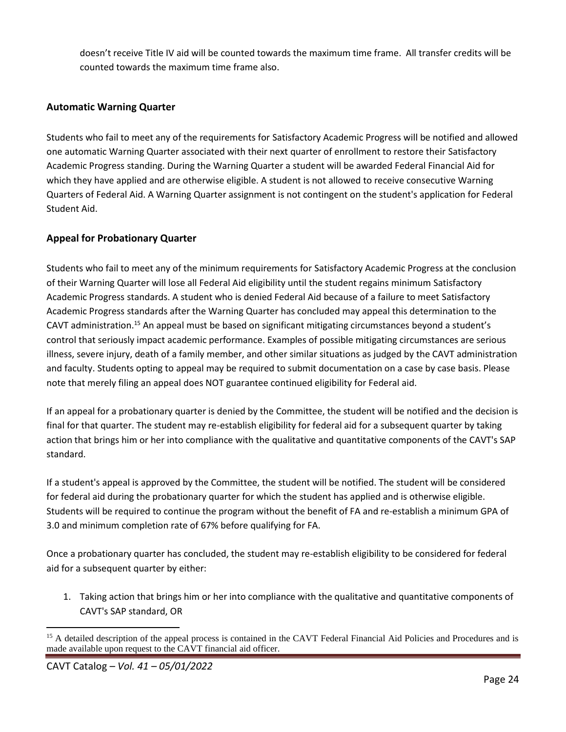doesn't receive Title IV aid will be counted towards the maximum time frame. All transfer credits will be counted towards the maximum time frame also.

### **Automatic Warning Quarter**

Students who fail to meet any of the requirements for Satisfactory Academic Progress will be notified and allowed one automatic Warning Quarter associated with their next quarter of enrollment to restore their Satisfactory Academic Progress standing. During the Warning Quarter a student will be awarded Federal Financial Aid for which they have applied and are otherwise eligible. A student is not allowed to receive consecutive Warning Quarters of Federal Aid. A Warning Quarter assignment is not contingent on the student's application for Federal Student Aid.

### **Appeal for Probationary Quarter**

Students who fail to meet any of the minimum requirements for Satisfactory Academic Progress at the conclusion of their Warning Quarter will lose all Federal Aid eligibility until the student regains minimum Satisfactory Academic Progress standards. A student who is denied Federal Aid because of a failure to meet Satisfactory Academic Progress standards after the Warning Quarter has concluded may appeal this determination to the CAVT administration.<sup>15</sup> An appeal must be based on significant mitigating circumstances beyond a student's control that seriously impact academic performance. Examples of possible mitigating circumstances are serious illness, severe injury, death of a family member, and other similar situations as judged by the CAVT administration and faculty. Students opting to appeal may be required to submit documentation on a case by case basis. Please note that merely filing an appeal does NOT guarantee continued eligibility for Federal aid.

If an appeal for a probationary quarter is denied by the Committee, the student will be notified and the decision is final for that quarter. The student may re-establish eligibility for federal aid for a subsequent quarter by taking action that brings him or her into compliance with the qualitative and quantitative components of the CAVT's SAP standard.

If a student's appeal is approved by the Committee, the student will be notified. The student will be considered for federal aid during the probationary quarter for which the student has applied and is otherwise eligible. Students will be required to continue the program without the benefit of FA and re-establish a minimum GPA of 3.0 and minimum completion rate of 67% before qualifying for FA.

Once a probationary quarter has concluded, the student may re-establish eligibility to be considered for federal aid for a subsequent quarter by either:

1. Taking action that brings him or her into compliance with the qualitative and quantitative components of CAVT's SAP standard, OR

<sup>&</sup>lt;sup>15</sup> A detailed description of the appeal process is contained in the CAVT Federal Financial Aid Policies and Procedures and is made available upon request to the CAVT financial aid officer.

CAVT Catalog *– Vol. 41 – 05/01/2022*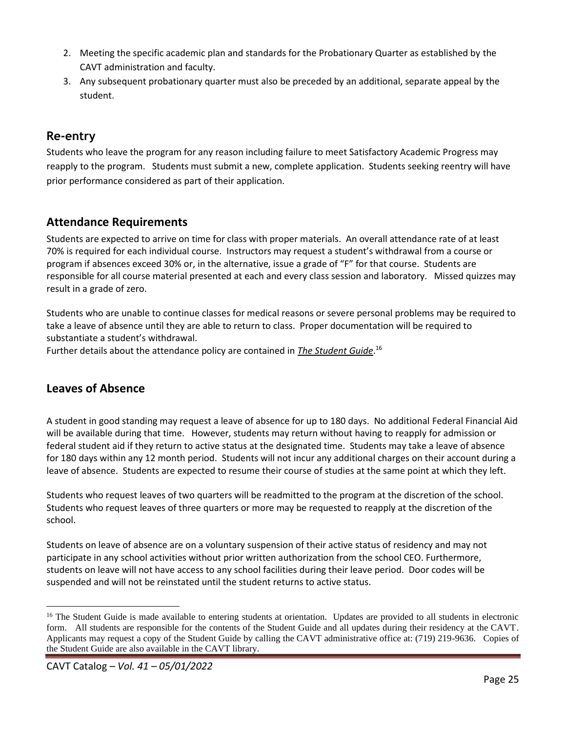- 2. Meeting the specific academic plan and standards for the Probationary Quarter as established by the CAVT administration and faculty.
- 3. Any subsequent probationary quarter must also be preceded by an additional, separate appeal by the student.

# <span id="page-24-0"></span>**Re-entry**

Students who leave the program for any reason including failure to meet Satisfactory Academic Progress may reapply to the program. Students must submit a new, complete application. Students seeking reentry will have prior performance considered as part of their application.

# <span id="page-24-1"></span>**Attendance Requirements**

Students are expected to arrive on time for class with proper materials. An overall attendance rate of at least 70% is required for each individual course. Instructors may request a student's withdrawal from a course or program if absences exceed 30% or, in the alternative, issue a grade of "F" for that course. Students are responsible for all course material presented at each and every class session and laboratory. Missed quizzes may result in a grade of zero.

Students who are unable to continue classes for medical reasons or severe personal problems may be required to take a leave of absence until they are able to return to class. Proper documentation will be required to substantiate a student's withdrawal.

Further details about the attendance policy are contained in *The Student Guide*. 16

## <span id="page-24-2"></span>**Leaves of Absence**

A student in good standing may request a leave of absence for up to 180 days. No additional Federal Financial Aid will be available during that time. However, students may return without having to reapply for admission or federal student aid if they return to active status at the designated time. Students may take a leave of absence for 180 days within any 12 month period. Students will not incur any additional charges on their account during a leave of absence. Students are expected to resume their course of studies at the same point at which they left.

Students who request leaves of two quarters will be readmitted to the program at the discretion of the school. Students who request leaves of three quarters or more may be requested to reapply at the discretion of the school.

Students on leave of absence are on a voluntary suspension of their active status of residency and may not participate in any school activities without prior written authorization from the school CEO. Furthermore, students on leave will not have access to any school facilities during their leave period. Door codes will be suspended and will not be reinstated until the student returns to active status.

<sup>&</sup>lt;sup>16</sup> The Student Guide is made available to entering students at orientation. Updates are provided to all students in electronic form. All students are responsible for the contents of the Student Guide and all updates during their residency at the CAVT. Applicants may request a copy of the Student Guide by calling the CAVT administrative office at: (719) 219-9636. Copies of the Student Guide are also available in the CAVT library.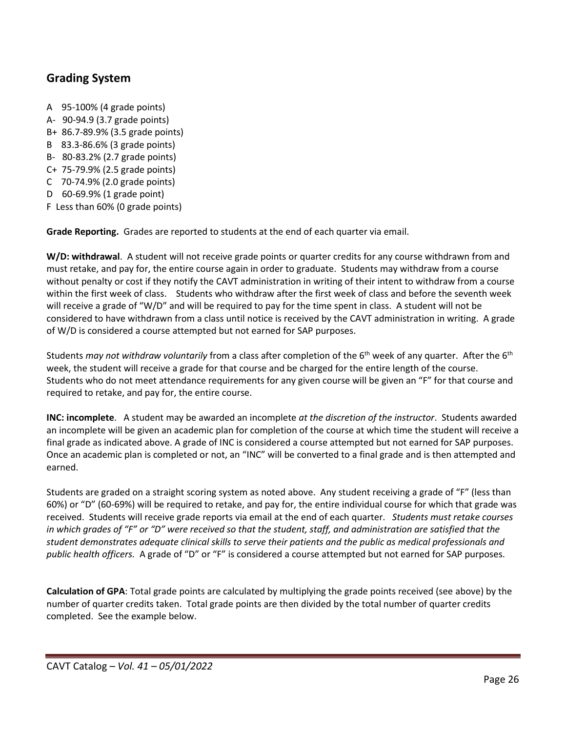# <span id="page-25-0"></span>**Grading System**

A 95-100% (4 grade points) A- 90-94.9 (3.7 grade points) B+ 86.7-89.9% (3.5 grade points) B 83.3-86.6% (3 grade points) B- 80-83.2% (2.7 grade points) C+ 75-79.9% (2.5 grade points) C 70-74.9% (2.0 grade points) D 60-69.9% (1 grade point) F Less than 60% (0 grade points)

**Grade Reporting.** Grades are reported to students at the end of each quarter via email.

**W/D: withdrawal**. A student will not receive grade points or quarter credits for any course withdrawn from and must retake, and pay for, the entire course again in order to graduate. Students may withdraw from a course without penalty or cost if they notify the CAVT administration in writing of their intent to withdraw from a course within the first week of class. Students who withdraw after the first week of class and before the seventh week will receive a grade of "W/D" and will be required to pay for the time spent in class. A student will not be considered to have withdrawn from a class until notice is received by the CAVT administration in writing. A grade of W/D is considered a course attempted but not earned for SAP purposes.

Students *may not withdraw voluntarily* from a class after completion of the 6<sup>th</sup> week of any quarter. After the 6<sup>th</sup> week, the student will receive a grade for that course and be charged for the entire length of the course. Students who do not meet attendance requirements for any given course will be given an "F" for that course and required to retake, and pay for, the entire course.

**INC: incomplete**. A student may be awarded an incomplete *at the discretion of the instructor*. Students awarded an incomplete will be given an academic plan for completion of the course at which time the student will receive a final grade as indicated above. A grade of INC is considered a course attempted but not earned for SAP purposes. Once an academic plan is completed or not, an "INC" will be converted to a final grade and is then attempted and earned.

Students are graded on a straight scoring system as noted above. Any student receiving a grade of "F" (less than 60%) or "D" (60-69%) will be required to retake, and pay for, the entire individual course for which that grade was received. Students will receive grade reports via email at the end of each quarter. *Students must retake courses in which grades of "F" or "D" were received so that the student, staff, and administration are satisfied that the student demonstrates adequate clinical skills to serve their patients and the public as medical professionals and public health officers.* A grade of "D" or "F" is considered a course attempted but not earned for SAP purposes.

**Calculation of GPA**: Total grade points are calculated by multiplying the grade points received (see above) by the number of quarter credits taken. Total grade points are then divided by the total number of quarter credits completed. See the example below.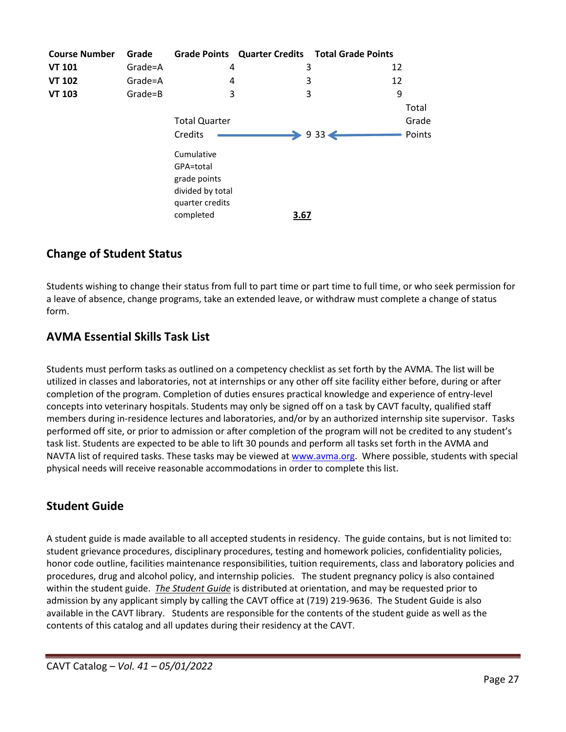| <b>Course Number</b> | Grade   |                                                             |      | Grade Points Quarter Credits Total Grade Points |        |
|----------------------|---------|-------------------------------------------------------------|------|-------------------------------------------------|--------|
| <b>VT 101</b>        | Grade=A | 4                                                           | 3    | 12                                              |        |
| <b>VT 102</b>        | Grade=A | 4                                                           | 3    | 12                                              |        |
| <b>VT 103</b>        | Grade=B | 3                                                           | 3    | 9                                               |        |
|                      |         |                                                             |      |                                                 | Total  |
|                      |         | <b>Total Quarter</b>                                        |      |                                                 | Grade  |
|                      |         | Credits                                                     |      | $\rightarrow$ 933 $\leftarrow$                  | Points |
|                      |         | Cumulative<br>GPA=total<br>grade points<br>divided by total |      |                                                 |        |
|                      |         | quarter credits<br>completed                                | 3.67 |                                                 |        |

# <span id="page-26-0"></span>**Change of Student Status**

Students wishing to change their status from full to part time or part time to full time, or who seek permission for a leave of absence, change programs, take an extended leave, or withdraw must complete a change of status form.

# <span id="page-26-1"></span>**AVMA Essential Skills Task List**

Students must perform tasks as outlined on a competency checklist as set forth by the AVMA. The list will be utilized in classes and laboratories, not at internships or any other off site facility either before, during or after completion of the program. Completion of duties ensures practical knowledge and experience of entry-level concepts into veterinary hospitals. Students may only be signed off on a task by CAVT faculty, qualified staff members during in-residence lectures and laboratories, and/or by an authorized internship site supervisor. Tasks performed off site, or prior to admission or after completion of the program will not be credited to any student's task list. Students are expected to be able to lift 30 pounds and perform all tasks set forth in the AVMA and NAVTA list of required tasks. These tasks may be viewed a[t www.avma.org.](http://www.avma.org/) Where possible, students with special physical needs will receive reasonable accommodations in order to complete this list.

# <span id="page-26-2"></span>**Student Guide**

A student guide is made available to all accepted students in residency. The guide contains, but is not limited to: student grievance procedures, disciplinary procedures, testing and homework policies, confidentiality policies, honor code outline, facilities maintenance responsibilities, tuition requirements, class and laboratory policies and procedures, drug and alcohol policy, and internship policies. The student pregnancy policy is also contained within the student guide. *The Student Guide* is distributed at orientation, and may be requested prior to admission by any applicant simply by calling the CAVT office at (719) 219-9636. The Student Guide is also available in the CAVT library. Students are responsible for the contents of the student guide as well as the contents of this catalog and all updates during their residency at the CAVT.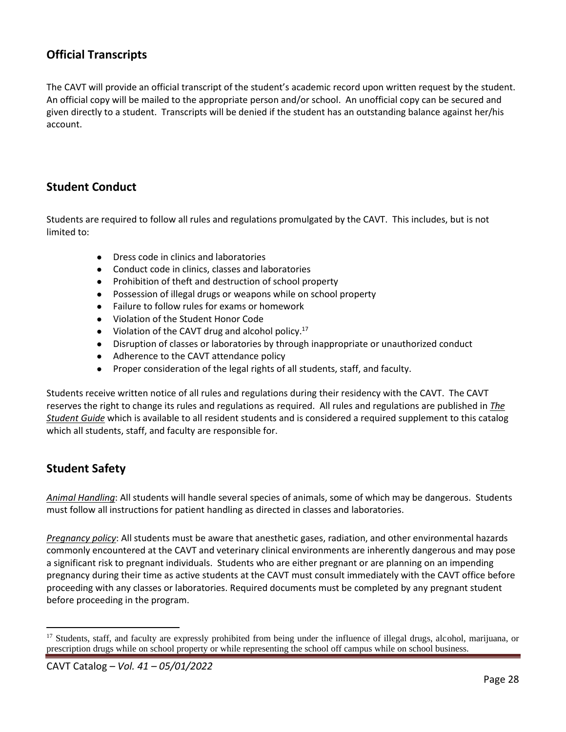# <span id="page-27-0"></span>**Official Transcripts**

The CAVT will provide an official transcript of the student's academic record upon written request by the student. An official copy will be mailed to the appropriate person and/or school. An unofficial copy can be secured and given directly to a student. Transcripts will be denied if the student has an outstanding balance against her/his account.

## <span id="page-27-1"></span>**Student Conduct**

Students are required to follow all rules and regulations promulgated by the CAVT. This includes, but is not limited to:

- Dress code in clinics and laboratories
- Conduct code in clinics, classes and laboratories
- Prohibition of theft and destruction of school property
- Possession of illegal drugs or weapons while on school property
- Failure to follow rules for exams or homework
- Violation of the Student Honor Code
- Violation of the CAVT drug and alcohol policy. $17$
- Disruption of classes or laboratories by through inappropriate or unauthorized conduct
- Adherence to the CAVT attendance policy
- Proper consideration of the legal rights of all students, staff, and faculty.

Students receive written notice of all rules and regulations during their residency with the CAVT. The CAVT reserves the right to change its rules and regulations as required. All rules and regulations are published in *The Student Guide* which is available to all resident students and is considered a required supplement to this catalog which all students, staff, and faculty are responsible for.

# <span id="page-27-2"></span>**Student Safety**

*Animal Handling*: All students will handle several species of animals, some of which may be dangerous. Students must follow all instructions for patient handling as directed in classes and laboratories.

*Pregnancy policy*: All students must be aware that anesthetic gases, radiation, and other environmental hazards commonly encountered at the CAVT and veterinary clinical environments are inherently dangerous and may pose a significant risk to pregnant individuals. Students who are either pregnant or are planning on an impending pregnancy during their time as active students at the CAVT must consult immediately with the CAVT office before proceeding with any classes or laboratories. Required documents must be completed by any pregnant student before proceeding in the program.

<sup>&</sup>lt;sup>17</sup> Students, staff, and faculty are expressly prohibited from being under the influence of illegal drugs, alcohol, marijuana, or prescription drugs while on school property or while representing the school off campus while on school business.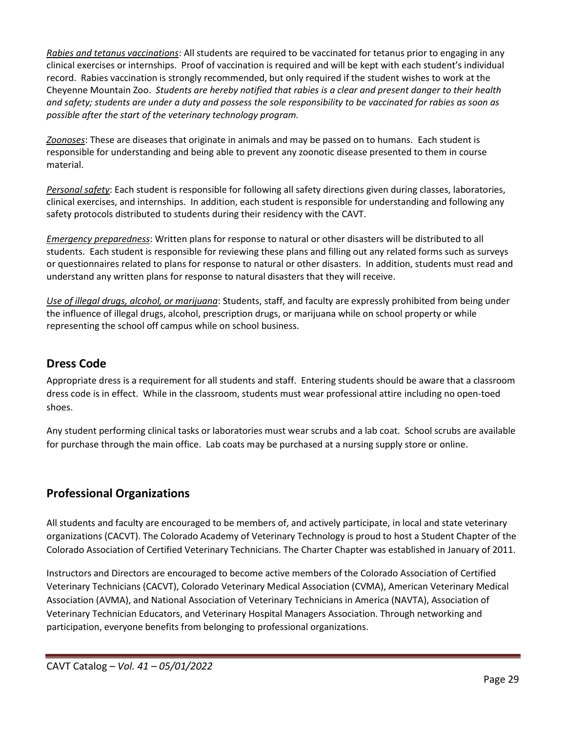*Rabies and tetanus vaccinations*: All students are required to be vaccinated for tetanus prior to engaging in any clinical exercises or internships. Proof of vaccination is required and will be kept with each student's individual record. Rabies vaccination is strongly recommended, but only required if the student wishes to work at the Cheyenne Mountain Zoo. *Students are hereby notified that rabies is a clear and present danger to their health and safety; students are under a duty and possess the sole responsibility to be vaccinated for rabies as soon as possible after the start of the veterinary technology program.* 

*Zoonoses*: These are diseases that originate in animals and may be passed on to humans. Each student is responsible for understanding and being able to prevent any zoonotic disease presented to them in course material.

*Personal safety*: Each student is responsible for following all safety directions given during classes, laboratories, clinical exercises, and internships. In addition, each student is responsible for understanding and following any safety protocols distributed to students during their residency with the CAVT.

*Emergency preparedness*: Written plans for response to natural or other disasters will be distributed to all students. Each student is responsible for reviewing these plans and filling out any related forms such as surveys or questionnaires related to plans for response to natural or other disasters. In addition, students must read and understand any written plans for response to natural disasters that they will receive.

*Use of illegal drugs, alcohol, or marijuana*: Students, staff, and faculty are expressly prohibited from being under the influence of illegal drugs, alcohol, prescription drugs, or marijuana while on school property or while representing the school off campus while on school business.

# <span id="page-28-0"></span>**Dress Code**

Appropriate dress is a requirement for all students and staff. Entering students should be aware that a classroom dress code is in effect. While in the classroom, students must wear professional attire including no open-toed shoes.

Any student performing clinical tasks or laboratories must wear scrubs and a lab coat. School scrubs are available for purchase through the main office. Lab coats may be purchased at a nursing supply store or online.

# <span id="page-28-1"></span>**Professional Organizations**

All students and faculty are encouraged to be members of, and actively participate, in local and state veterinary organizations (CACVT). The Colorado Academy of Veterinary Technology is proud to host a Student Chapter of the Colorado Association of Certified Veterinary Technicians. The Charter Chapter was established in January of 2011.

Instructors and Directors are encouraged to become active members of the Colorado Association of Certified Veterinary Technicians (CACVT), Colorado Veterinary Medical Association (CVMA), American Veterinary Medical Association (AVMA), and National Association of Veterinary Technicians in America (NAVTA), Association of Veterinary Technician Educators, and Veterinary Hospital Managers Association. Through networking and participation, everyone benefits from belonging to professional organizations.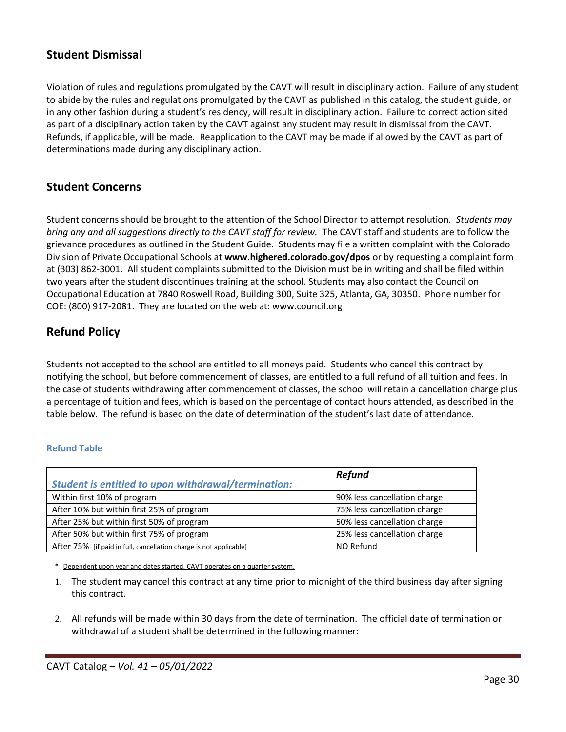# <span id="page-29-0"></span>**Student Dismissal**

Violation of rules and regulations promulgated by the CAVT will result in disciplinary action. Failure of any student to abide by the rules and regulations promulgated by the CAVT as published in this catalog, the student guide, or in any other fashion during a student's residency, will result in disciplinary action. Failure to correct action sited as part of a disciplinary action taken by the CAVT against any student may result in dismissal from the CAVT. Refunds, if applicable, will be made. Reapplication to the CAVT may be made if allowed by the CAVT as part of determinations made during any disciplinary action.

## <span id="page-29-1"></span>**Student Concerns**

Student concerns should be brought to the attention of the School Director to attempt resolution. *Students may bring any and all suggestions directly to the CAVT staff for review.* The CAVT staff and students are to follow the grievance procedures as outlined in the Student Guide. Students may file a written complaint with the Colorado Division of Private Occupational Schools at **www.highered.colorado.gov/dpos** or by requesting a complaint form at (303) 862-3001. All student complaints submitted to the Division must be in writing and shall be filed within two years after the student discontinues training at the school. Students may also contact the Council on Occupational Education at 7840 Roswell Road, Building 300, Suite 325, Atlanta, GA, 30350. Phone number for COE: (800) 917-2081. They are located on the web at: www.council.org

# <span id="page-29-2"></span>**Refund Policy**

Students not accepted to the school are entitled to all moneys paid. Students who cancel this contract by notifying the school, but before commencement of classes, are entitled to a full refund of all tuition and fees. In the case of students withdrawing after commencement of classes, the school will retain a cancellation charge plus a percentage of tuition and fees, which is based on the percentage of contact hours attended, as described in the table below. The refund is based on the date of determination of the student's last date of attendance.

### **Refund Table**

| <b>Student is entitled to upon withdrawal/termination:</b>         | <b>Refund</b>                |
|--------------------------------------------------------------------|------------------------------|
| Within first 10% of program                                        | 90% less cancellation charge |
| After 10% but within first 25% of program                          | 75% less cancellation charge |
| After 25% but within first 50% of program                          | 50% less cancellation charge |
| After 50% but within first 75% of program                          | 25% less cancellation charge |
| After 75% [if paid in full, cancellation charge is not applicable] | NO Refund                    |

**\*** Dependent upon year and dates started. CAVT operates on a quarter system.

- 1. The student may cancel this contract at any time prior to midnight of the third business day after signing this contract.
- 2. All refunds will be made within 30 days from the date of termination. The official date of termination or withdrawal of a student shall be determined in the following manner: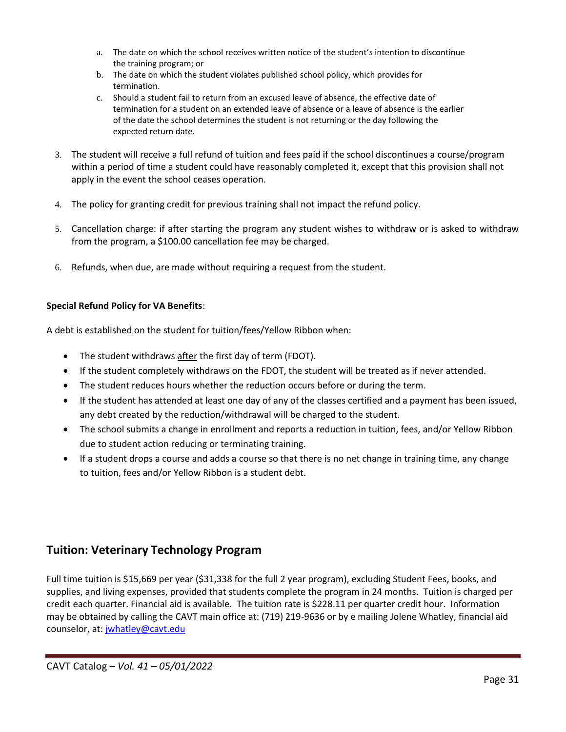- a. The date on which the school receives written notice of the student's intention to discontinue the training program; or
- b. The date on which the student violates published school policy, which provides for termination.
- c. Should a student fail to return from an excused leave of absence, the effective date of termination for a student on an extended leave of absence or a leave of absence is the earlier of the date the school determines the student is not returning or the day following the expected return date.
- 3. The student will receive a full refund of tuition and fees paid if the school discontinues a course/program within a period of time a student could have reasonably completed it, except that this provision shall not apply in the event the school ceases operation.
- 4. The policy for granting credit for previous training shall not impact the refund policy.
- 5. Cancellation charge: if after starting the program any student wishes to withdraw or is asked to withdraw from the program, a \$100.00 cancellation fee may be charged.
- 6. Refunds, when due, are made without requiring a request from the student.

### **Special Refund Policy for VA Benefits**:

A debt is established on the student for tuition/fees/Yellow Ribbon when:

- The student withdraws after the first day of term (FDOT).
- If the student completely withdraws on the FDOT, the student will be treated as if never attended.
- The student reduces hours whether the reduction occurs before or during the term.
- If the student has attended at least one day of any of the classes certified and a payment has been issued, any debt created by the reduction/withdrawal will be charged to the student.
- The school submits a change in enrollment and reports a reduction in tuition, fees, and/or Yellow Ribbon due to student action reducing or terminating training.
- If a student drops a course and adds a course so that there is no net change in training time, any change to tuition, fees and/or Yellow Ribbon is a student debt.

## <span id="page-30-0"></span>**Tuition: Veterinary Technology Program**

Full time tuition is \$15,669 per year (\$31,338 for the full 2 year program), excluding Student Fees, books, and supplies, and living expenses, provided that students complete the program in 24 months. Tuition is charged per credit each quarter. Financial aid is available. The tuition rate is \$228.11 per quarter credit hour. Information may be obtained by calling the CAVT main office at: (719) 219-9636 or by e mailing Jolene Whatley, financial aid counselor, at: [jwhatley@cavt.edu](mailto:tthompson@cavt.edu)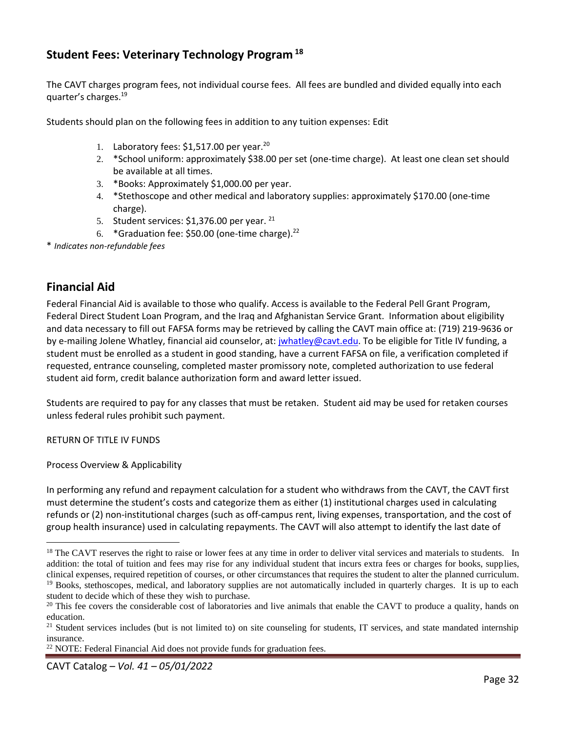# <span id="page-31-0"></span>**Student Fees: Veterinary Technology Program <sup>18</sup>**

The CAVT charges program fees, not individual course fees. All fees are bundled and divided equally into each quarter's charges.<sup>19</sup>

Students should plan on the following fees in addition to any tuition expenses: Edit

- 1. Laboratory fees: \$1,517.00 per year.<sup>20</sup>
- 2. \*School uniform: approximately \$38.00 per set (one-time charge). At least one clean set should be available at all times.
- 3. \*Books: Approximately \$1,000.00 per year.
- 4. \*Stethoscope and other medical and laboratory supplies: approximately \$170.00 (one-time charge).
- 5. Student services:  $$1,376.00$  per year. <sup>21</sup>
- 6. \*Graduation fee: \$50.00 (one-time charge). $22$

\* *Indicates non-refundable fees*

## <span id="page-31-1"></span>**Financial Aid**

Federal Financial Aid is available to those who qualify. Access is available to the Federal Pell Grant Program, Federal Direct Student Loan Program, and the Iraq and Afghanistan Service Grant. Information about eligibility and data necessary to fill out FAFSA forms may be retrieved by calling the CAVT main office at: (719) 219-9636 or by e-mailing Jolene Whatley, financial aid counselor, at: [jwhatley@cavt.edu.](mailto:tthompson@cavt.edu) To be eligible for Title IV funding, a student must be enrolled as a student in good standing, have a current FAFSA on file, a verification completed if requested, entrance counseling, completed master promissory note, completed authorization to use federal student aid form, credit balance authorization form and award letter issued.

Students are required to pay for any classes that must be retaken. Student aid may be used for retaken courses unless federal rules prohibit such payment.

RETURN OF TITLE IV FUNDS

Process Overview & Applicability

In performing any refund and repayment calculation for a student who withdraws from the CAVT, the CAVT first must determine the student's costs and categorize them as either (1) institutional charges used in calculating refunds or (2) non-institutional charges (such as off-campus rent, living expenses, transportation, and the cost of group health insurance) used in calculating repayments. The CAVT will also attempt to identify the last date of

<sup>22</sup> NOTE: Federal Financial Aid does not provide funds for graduation fees.

CAVT Catalog *– Vol. 41 – 05/01/2022*

<sup>&</sup>lt;sup>18</sup> The CAVT reserves the right to raise or lower fees at any time in order to deliver vital services and materials to students. In addition: the total of tuition and fees may rise for any individual student that incurs extra fees or charges for books, supplies, clinical expenses, required repetition of courses, or other circumstances that requires the student to alter the planned curriculum. <sup>19</sup> Books, stethoscopes, medical, and laboratory supplies are not automatically included in quarterly charges. It is up to each

student to decide which of these they wish to purchase.

 $20$  This fee covers the considerable cost of laboratories and live animals that enable the CAVT to produce a quality, hands on education.

 $21$  Student services includes (but is not limited to) on site counseling for students, IT services, and state mandated internship insurance.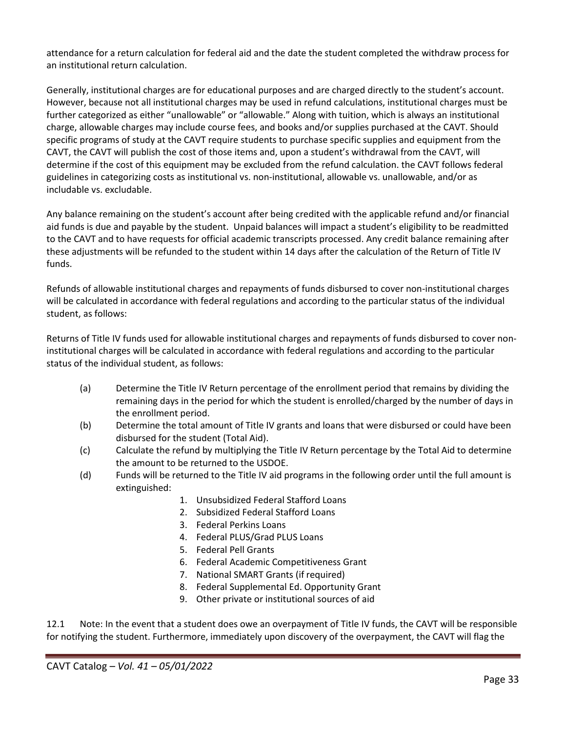attendance for a return calculation for federal aid and the date the student completed the withdraw process for an institutional return calculation.

Generally, institutional charges are for educational purposes and are charged directly to the student's account. However, because not all institutional charges may be used in refund calculations, institutional charges must be further categorized as either "unallowable" or "allowable." Along with tuition, which is always an institutional charge, allowable charges may include course fees, and books and/or supplies purchased at the CAVT. Should specific programs of study at the CAVT require students to purchase specific supplies and equipment from the CAVT, the CAVT will publish the cost of those items and, upon a student's withdrawal from the CAVT, will determine if the cost of this equipment may be excluded from the refund calculation. the CAVT follows federal guidelines in categorizing costs as institutional vs. non-institutional, allowable vs. unallowable, and/or as includable vs. excludable.

Any balance remaining on the student's account after being credited with the applicable refund and/or financial aid funds is due and payable by the student. Unpaid balances will impact a student's eligibility to be readmitted to the CAVT and to have requests for official academic transcripts processed. Any credit balance remaining after these adjustments will be refunded to the student within 14 days after the calculation of the Return of Title IV funds.

Refunds of allowable institutional charges and repayments of funds disbursed to cover non-institutional charges will be calculated in accordance with federal regulations and according to the particular status of the individual student, as follows:

Returns of Title IV funds used for allowable institutional charges and repayments of funds disbursed to cover noninstitutional charges will be calculated in accordance with federal regulations and according to the particular status of the individual student, as follows:

- (a) Determine the Title IV Return percentage of the enrollment period that remains by dividing the remaining days in the period for which the student is enrolled/charged by the number of days in the enrollment period.
- (b) Determine the total amount of Title IV grants and loans that were disbursed or could have been disbursed for the student (Total Aid).
- (c) Calculate the refund by multiplying the Title IV Return percentage by the Total Aid to determine the amount to be returned to the USDOE.
- (d) Funds will be returned to the Title IV aid programs in the following order until the full amount is extinguished:
	- 1. Unsubsidized Federal Stafford Loans
	- 2. Subsidized Federal Stafford Loans
	- 3. Federal Perkins Loans
	- 4. Federal PLUS/Grad PLUS Loans
	- 5. Federal Pell Grants
	- 6. Federal Academic Competitiveness Grant
	- 7. National SMART Grants (if required)
	- 8. Federal Supplemental Ed. Opportunity Grant
	- 9. Other private or institutional sources of aid

12.1 Note: In the event that a student does owe an overpayment of Title IV funds, the CAVT will be responsible for notifying the student. Furthermore, immediately upon discovery of the overpayment, the CAVT will flag the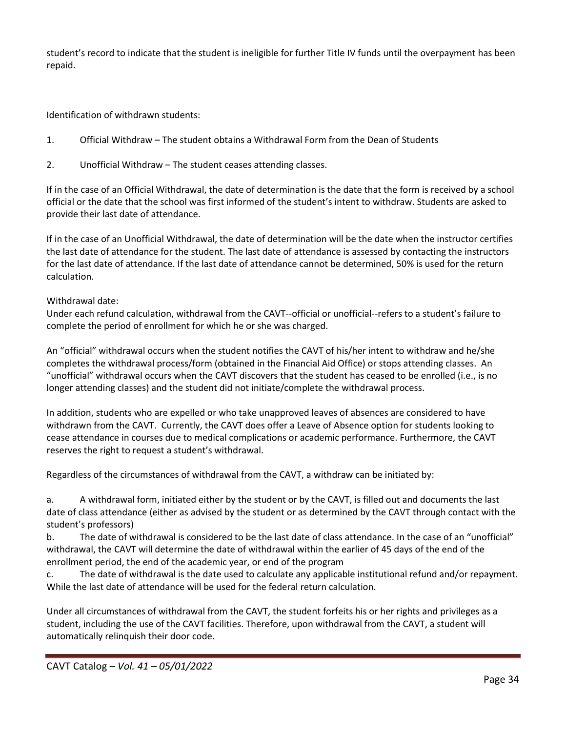student's record to indicate that the student is ineligible for further Title IV funds until the overpayment has been repaid.

Identification of withdrawn students:

- 1. Official Withdraw The student obtains a Withdrawal Form from the Dean of Students
- 2. Unofficial Withdraw The student ceases attending classes.

If in the case of an Official Withdrawal, the date of determination is the date that the form is received by a school official or the date that the school was first informed of the student's intent to withdraw. Students are asked to provide their last date of attendance.

If in the case of an Unofficial Withdrawal, the date of determination will be the date when the instructor certifies the last date of attendance for the student. The last date of attendance is assessed by contacting the instructors for the last date of attendance. If the last date of attendance cannot be determined, 50% is used for the return calculation.

### Withdrawal date:

Under each refund calculation, withdrawal from the CAVT--official or unofficial--refers to a student's failure to complete the period of enrollment for which he or she was charged.

An "official" withdrawal occurs when the student notifies the CAVT of his/her intent to withdraw and he/she completes the withdrawal process/form (obtained in the Financial Aid Office) or stops attending classes. An "unofficial" withdrawal occurs when the CAVT discovers that the student has ceased to be enrolled (i.e., is no longer attending classes) and the student did not initiate/complete the withdrawal process.

In addition, students who are expelled or who take unapproved leaves of absences are considered to have withdrawn from the CAVT. Currently, the CAVT does offer a Leave of Absence option for students looking to cease attendance in courses due to medical complications or academic performance. Furthermore, the CAVT reserves the right to request a student's withdrawal.

Regardless of the circumstances of withdrawal from the CAVT, a withdraw can be initiated by:

a. A withdrawal form, initiated either by the student or by the CAVT, is filled out and documents the last date of class attendance (either as advised by the student or as determined by the CAVT through contact with the student's professors)

b. The date of withdrawal is considered to be the last date of class attendance. In the case of an "unofficial" withdrawal, the CAVT will determine the date of withdrawal within the earlier of 45 days of the end of the enrollment period, the end of the academic year, or end of the program

c. The date of withdrawal is the date used to calculate any applicable institutional refund and/or repayment. While the last date of attendance will be used for the federal return calculation.

Under all circumstances of withdrawal from the CAVT, the student forfeits his or her rights and privileges as a student, including the use of the CAVT facilities. Therefore, upon withdrawal from the CAVT, a student will automatically relinquish their door code.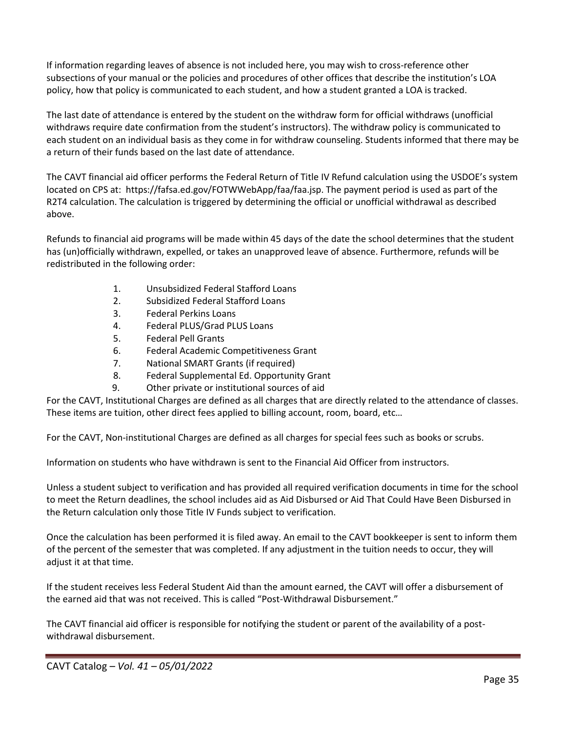If information regarding leaves of absence is not included here, you may wish to cross-reference other subsections of your manual or the policies and procedures of other offices that describe the institution's LOA policy, how that policy is communicated to each student, and how a student granted a LOA is tracked.

The last date of attendance is entered by the student on the withdraw form for official withdraws (unofficial withdraws require date confirmation from the student's instructors). The withdraw policy is communicated to each student on an individual basis as they come in for withdraw counseling. Students informed that there may be a return of their funds based on the last date of attendance.

The CAVT financial aid officer performs the Federal Return of Title IV Refund calculation using the USDOE's system located on CPS at: https://fafsa.ed.gov/FOTWWebApp/faa/faa.jsp. The payment period is used as part of the R2T4 calculation. The calculation is triggered by determining the official or unofficial withdrawal as described above.

Refunds to financial aid programs will be made within 45 days of the date the school determines that the student has (un)officially withdrawn, expelled, or takes an unapproved leave of absence. Furthermore, refunds will be redistributed in the following order:

- 1. Unsubsidized Federal Stafford Loans
- 2. Subsidized Federal Stafford Loans
- 3. Federal Perkins Loans
- 4. Federal PLUS/Grad PLUS Loans
- 5. Federal Pell Grants
- 6. Federal Academic Competitiveness Grant
- 7. National SMART Grants (if required)
- 8. Federal Supplemental Ed. Opportunity Grant
- 9. Other private or institutional sources of aid

For the CAVT, Institutional Charges are defined as all charges that are directly related to the attendance of classes. These items are tuition, other direct fees applied to billing account, room, board, etc…

For the CAVT, Non-institutional Charges are defined as all charges for special fees such as books or scrubs.

Information on students who have withdrawn is sent to the Financial Aid Officer from instructors.

Unless a student subject to verification and has provided all required verification documents in time for the school to meet the Return deadlines, the school includes aid as Aid Disbursed or Aid That Could Have Been Disbursed in the Return calculation only those Title IV Funds subject to verification.

Once the calculation has been performed it is filed away. An email to the CAVT bookkeeper is sent to inform them of the percent of the semester that was completed. If any adjustment in the tuition needs to occur, they will adjust it at that time.

If the student receives less Federal Student Aid than the amount earned, the CAVT will offer a disbursement of the earned aid that was not received. This is called "Post-Withdrawal Disbursement."

The CAVT financial aid officer is responsible for notifying the student or parent of the availability of a postwithdrawal disbursement.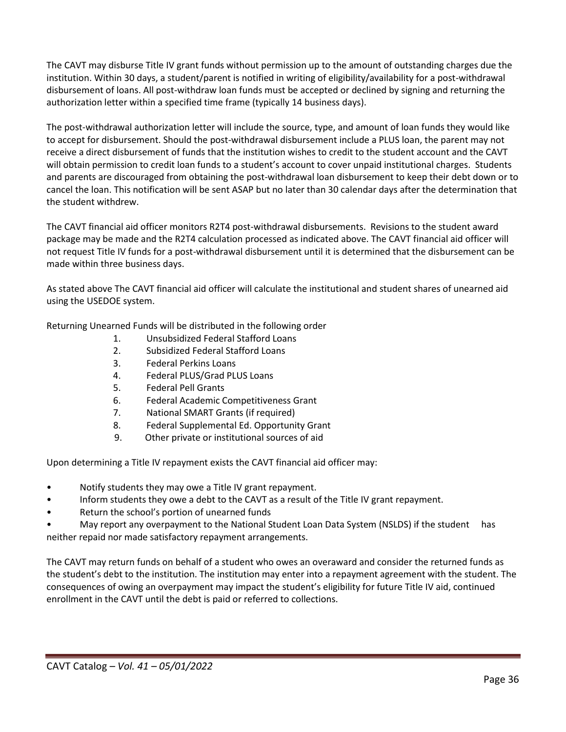The CAVT may disburse Title IV grant funds without permission up to the amount of outstanding charges due the institution. Within 30 days, a student/parent is notified in writing of eligibility/availability for a post-withdrawal disbursement of loans. All post-withdraw loan funds must be accepted or declined by signing and returning the authorization letter within a specified time frame (typically 14 business days).

The post-withdrawal authorization letter will include the source, type, and amount of loan funds they would like to accept for disbursement. Should the post-withdrawal disbursement include a PLUS loan, the parent may not receive a direct disbursement of funds that the institution wishes to credit to the student account and the CAVT will obtain permission to credit loan funds to a student's account to cover unpaid institutional charges. Students and parents are discouraged from obtaining the post-withdrawal loan disbursement to keep their debt down or to cancel the loan. This notification will be sent ASAP but no later than 30 calendar days after the determination that the student withdrew.

The CAVT financial aid officer monitors R2T4 post-withdrawal disbursements. Revisions to the student award package may be made and the R2T4 calculation processed as indicated above. The CAVT financial aid officer will not request Title IV funds for a post-withdrawal disbursement until it is determined that the disbursement can be made within three business days.

As stated above The CAVT financial aid officer will calculate the institutional and student shares of unearned aid using the USEDOE system.

Returning Unearned Funds will be distributed in the following order

- 1. Unsubsidized Federal Stafford Loans
- 2. Subsidized Federal Stafford Loans
- 3. Federal Perkins Loans
- 4. Federal PLUS/Grad PLUS Loans
- 5. Federal Pell Grants
- 6. Federal Academic Competitiveness Grant
- 7. National SMART Grants (if required)
- 8. Federal Supplemental Ed. Opportunity Grant
- 9. Other private or institutional sources of aid

Upon determining a Title IV repayment exists the CAVT financial aid officer may:

- Notify students they may owe a Title IV grant repayment.
- Inform students they owe a debt to the CAVT as a result of the Title IV grant repayment.
- Return the school's portion of unearned funds
- May report any overpayment to the National Student Loan Data System (NSLDS) if the student has neither repaid nor made satisfactory repayment arrangements.

The CAVT may return funds on behalf of a student who owes an overaward and consider the returned funds as the student's debt to the institution. The institution may enter into a repayment agreement with the student. The consequences of owing an overpayment may impact the student's eligibility for future Title IV aid, continued enrollment in the CAVT until the debt is paid or referred to collections.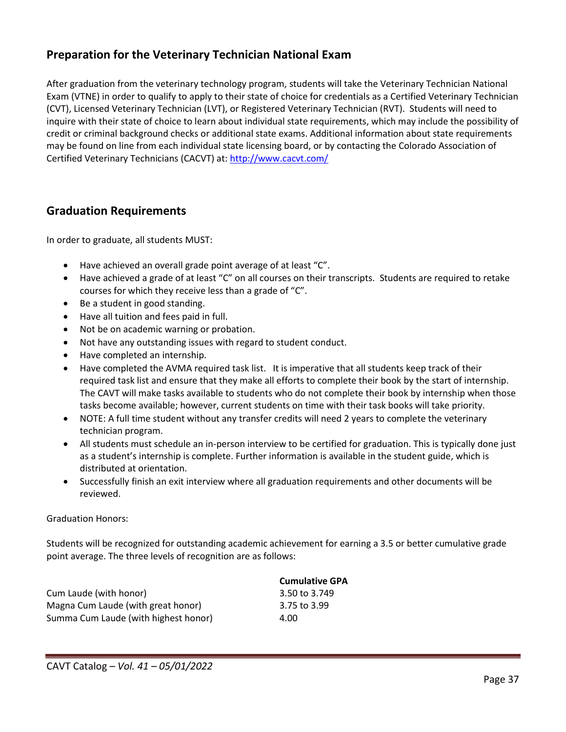# <span id="page-36-0"></span>**Preparation for the Veterinary Technician National Exam**

After graduation from the veterinary technology program, students will take the Veterinary Technician National Exam (VTNE) in order to qualify to apply to their state of choice for credentials as a Certified Veterinary Technician (CVT), Licensed Veterinary Technician (LVT), or Registered Veterinary Technician (RVT). Students will need to inquire with their state of choice to learn about individual state requirements, which may include the possibility of credit or criminal background checks or additional state exams. Additional information about state requirements may be found on line from each individual state licensing board, or by contacting the Colorado Association of Certified Veterinary Technicians (CACVT) at: [http://www.cacvt.com/](http://www.google.com/url?q=http%3A%2F%2Fwww.cacvt.com%2F&sa=D&sntz=1&usg=AFQjCNGUxm8Q_OJlJP1DVjWTPoTtO-oRiA)

# <span id="page-36-1"></span>**Graduation Requirements**

In order to graduate, all students MUST:

- Have achieved an overall grade point average of at least "C".
- Have achieved a grade of at least "C" on all courses on their transcripts. Students are required to retake courses for which they receive less than a grade of "C".
- Be a student in good standing.
- Have all tuition and fees paid in full.
- Not be on academic warning or probation.
- Not have any outstanding issues with regard to student conduct.
- Have completed an internship.
- Have completed the AVMA required task list. It is imperative that all students keep track of their required task list and ensure that they make all efforts to complete their book by the start of internship. The CAVT will make tasks available to students who do not complete their book by internship when those tasks become available; however, current students on time with their task books will take priority.
- NOTE: A full time student without any transfer credits will need 2 years to complete the veterinary technician program.
- All students must schedule an in-person interview to be certified for graduation. This is typically done just as a student's internship is complete. Further information is available in the student guide, which is distributed at orientation.
- Successfully finish an exit interview where all graduation requirements and other documents will be reviewed.

### Graduation Honors:

Students will be recognized for outstanding academic achievement for earning a 3.5 or better cumulative grade point average. The three levels of recognition are as follows:

|                                      | <b>Cumulative GPA</b> |
|--------------------------------------|-----------------------|
| Cum Laude (with honor)               | 3.50 to 3.749         |
| Magna Cum Laude (with great honor)   | 3.75 to 3.99          |
| Summa Cum Laude (with highest honor) | 4.00                  |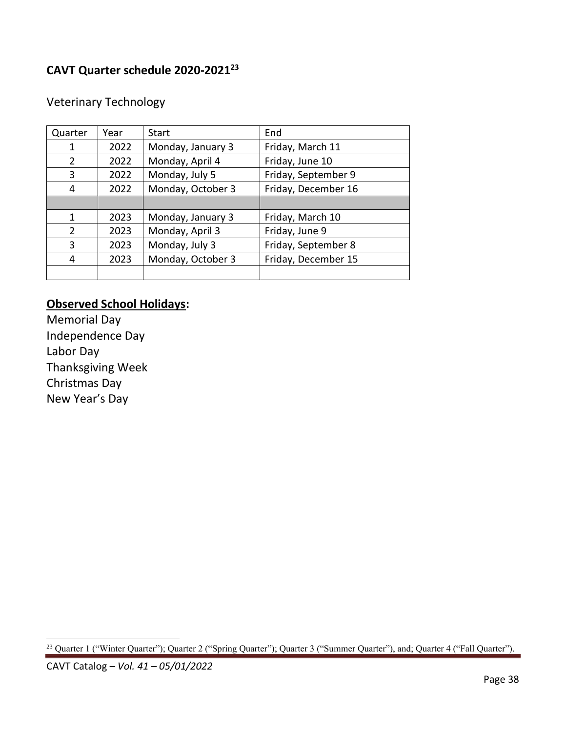# <span id="page-37-0"></span>**CAVT Quarter schedule 2020-2021<sup>23</sup>**

| Quarter       | Year | Start             | End                 |
|---------------|------|-------------------|---------------------|
| 1             | 2022 | Monday, January 3 | Friday, March 11    |
| 2             | 2022 | Monday, April 4   | Friday, June 10     |
| 3             | 2022 | Monday, July 5    | Friday, September 9 |
| 4             | 2022 | Monday, October 3 | Friday, December 16 |
|               |      |                   |                     |
| 1             | 2023 | Monday, January 3 | Friday, March 10    |
| $\mathcal{P}$ | 2023 | Monday, April 3   | Friday, June 9      |
| 3             | 2023 | Monday, July 3    | Friday, September 8 |
| 4             | 2023 | Monday, October 3 | Friday, December 15 |
|               |      |                   |                     |

# Veterinary Technology

# **Observed School Holidays:**

<span id="page-37-1"></span>Memorial Day Independence Day Labor Day Thanksgiving Week Christmas Day New Year's Day

<sup>&</sup>lt;sup>23</sup> Quarter 1 ("Winter Quarter"); Quarter 2 ("Spring Quarter"); Quarter 3 ("Summer Quarter"), and; Quarter 4 ("Fall Quarter").